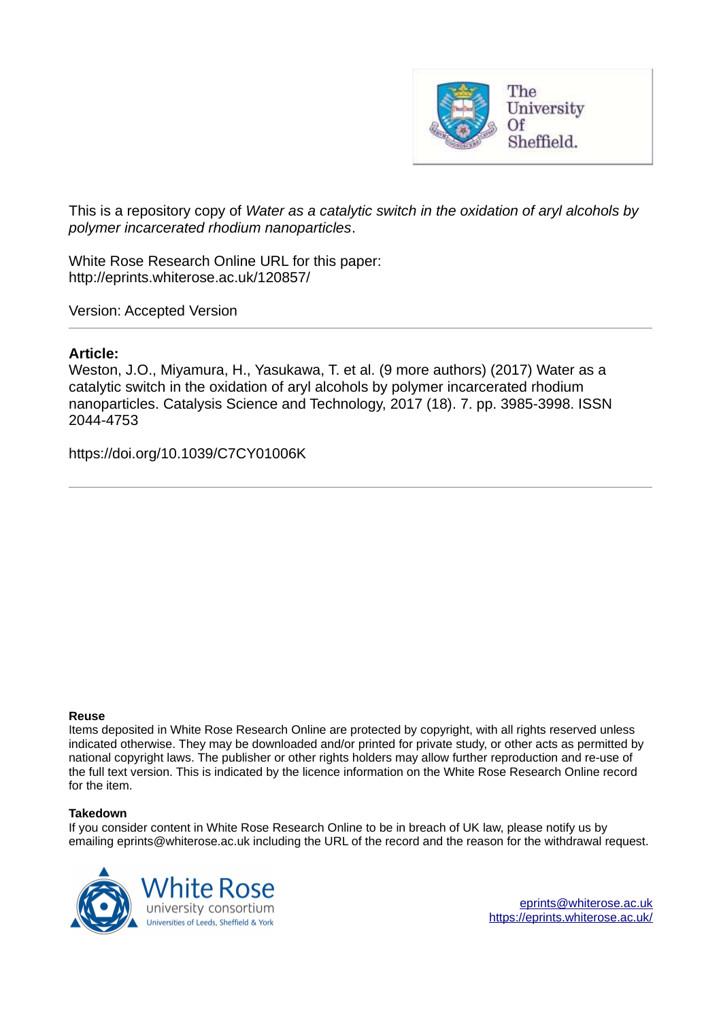

This is a repository copy of *Water as a catalytic switch in the oxidation of aryl alcohols by polymer incarcerated rhodium nanoparticles*.

White Rose Research Online URL for this paper: http://eprints.whiterose.ac.uk/120857/

Version: Accepted Version

## **Article:**

Weston, J.O., Miyamura, H., Yasukawa, T. et al. (9 more authors) (2017) Water as a catalytic switch in the oxidation of aryl alcohols by polymer incarcerated rhodium nanoparticles. Catalysis Science and Technology, 2017 (18). 7. pp. 3985-3998. ISSN 2044-4753

https://doi.org/10.1039/C7CY01006K

#### **Reuse**

Items deposited in White Rose Research Online are protected by copyright, with all rights reserved unless indicated otherwise. They may be downloaded and/or printed for private study, or other acts as permitted by national copyright laws. The publisher or other rights holders may allow further reproduction and re-use of the full text version. This is indicated by the licence information on the White Rose Research Online record for the item.

#### **Takedown**

If you consider content in White Rose Research Online to be in breach of UK law, please notify us by emailing eprints@whiterose.ac.uk including the URL of the record and the reason for the withdrawal request.

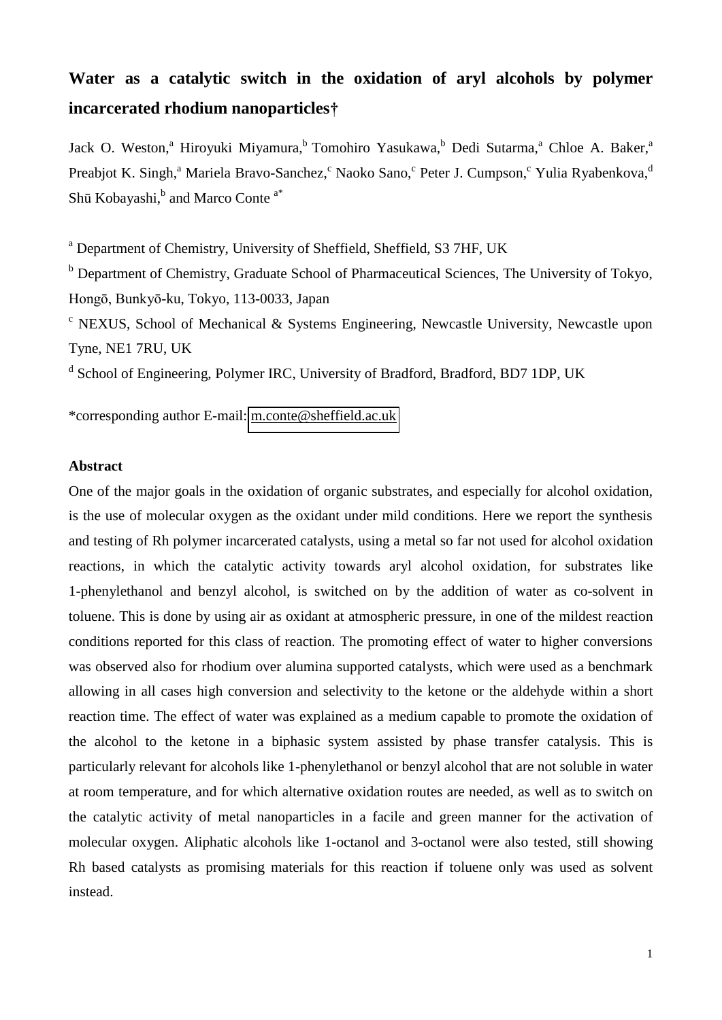# **Water as a catalytic switch in the oxidation of aryl alcohols by polymer incarcerated rhodium nanoparticles†**

Jack O. Weston,<sup>a</sup> Hiroyuki Miyamura,<sup>b</sup> Tomohiro Yasukawa,<sup>b</sup> Dedi Sutarma,<sup>a</sup> Chloe A. Baker,<sup>a</sup> Preabjot K. Singh,<sup>a</sup> Mariela Bravo-Sanchez, CNaoko Sano, CPeter J. Cumpson, CYulia Ryabenkova, <sup>d</sup> Shū Kobayashi,<sup>b</sup> and Marco Conte<sup>a\*</sup>

<sup>a</sup> Department of Chemistry, University of Sheffield, Sheffield, S3 7HF, UK

<sup>b</sup> Department of Chemistry, Graduate School of Pharmaceutical Sciences, The University of Tokyo, Hongō, Bunkyō-ku, Tokyo, 113-0033, Japan

<sup>c</sup> NEXUS, School of Mechanical & Systems Engineering, Newcastle University, Newcastle upon Tyne, NE1 7RU, UK

<sup>d</sup> School of Engineering, Polymer IRC, University of Bradford, Bradford, BD7 1DP, UK

\*corresponding author E-mail: [m.conte@sheffield.ac.uk](mailto:m.conte@sheffield.ac.uk) 

#### **Abstract**

One of the major goals in the oxidation of organic substrates, and especially for alcohol oxidation, is the use of molecular oxygen as the oxidant under mild conditions. Here we report the synthesis and testing of Rh polymer incarcerated catalysts, using a metal so far not used for alcohol oxidation reactions, in which the catalytic activity towards aryl alcohol oxidation, for substrates like 1-phenylethanol and benzyl alcohol, is switched on by the addition of water as co-solvent in toluene. This is done by using air as oxidant at atmospheric pressure, in one of the mildest reaction conditions reported for this class of reaction. The promoting effect of water to higher conversions was observed also for rhodium over alumina supported catalysts, which were used as a benchmark allowing in all cases high conversion and selectivity to the ketone or the aldehyde within a short reaction time. The effect of water was explained as a medium capable to promote the oxidation of the alcohol to the ketone in a biphasic system assisted by phase transfer catalysis. This is particularly relevant for alcohols like 1-phenylethanol or benzyl alcohol that are not soluble in water at room temperature, and for which alternative oxidation routes are needed, as well as to switch on the catalytic activity of metal nanoparticles in a facile and green manner for the activation of molecular oxygen. Aliphatic alcohols like 1-octanol and 3-octanol were also tested, still showing Rh based catalysts as promising materials for this reaction if toluene only was used as solvent instead.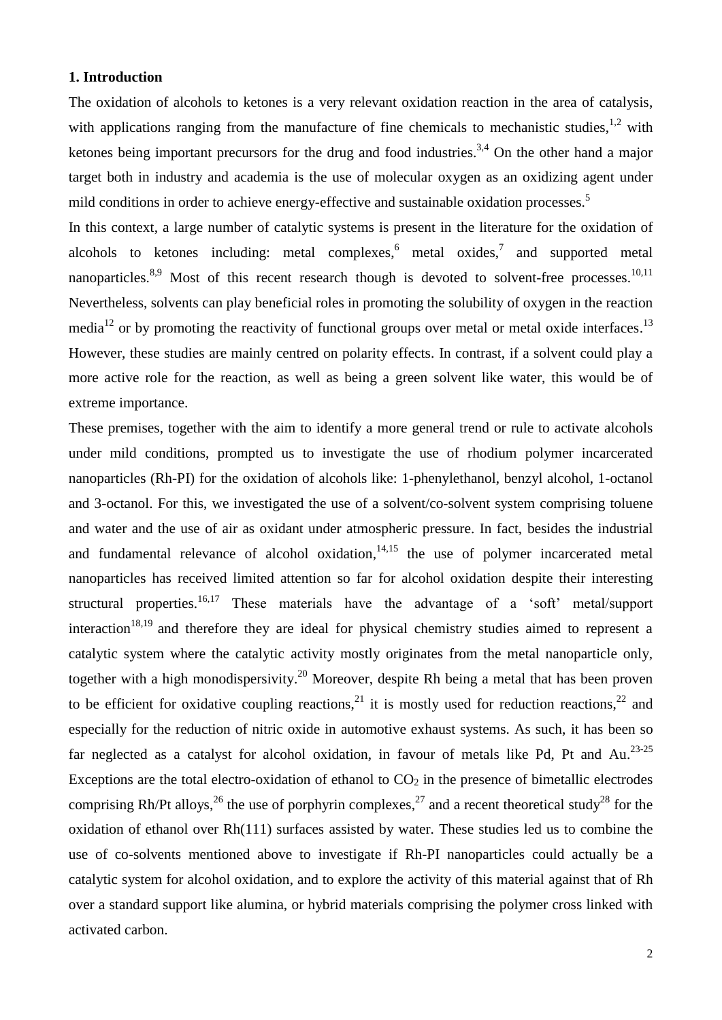## **1. Introduction**

The oxidation of alcohols to ketones is a very relevant oxidation reaction in the area of catalysis, with applications ranging from the manufacture of fine chemicals to mechanistic studies,  $1.2$  with ketones being important precursors for the drug and food industries.<sup>3,4</sup> On the other hand a major target both in industry and academia is the use of molecular oxygen as an oxidizing agent under mild conditions in order to achieve energy-effective and sustainable oxidation processes.<sup>5</sup>

In this context, a large number of catalytic systems is present in the literature for the oxidation of alcohols to ketones including: metal complexes, $6$  metal oxides, $7$  and supported metal nanoparticles.<sup>8,9</sup> Most of this recent research though is devoted to solvent-free processes.<sup>10,11</sup> Nevertheless, solvents can play beneficial roles in promoting the solubility of oxygen in the reaction media<sup>12</sup> or by promoting the reactivity of functional groups over metal or metal oxide interfaces.<sup>13</sup> However, these studies are mainly centred on polarity effects. In contrast, if a solvent could play a more active role for the reaction, as well as being a green solvent like water, this would be of extreme importance.

These premises, together with the aim to identify a more general trend or rule to activate alcohols under mild conditions, prompted us to investigate the use of rhodium polymer incarcerated nanoparticles (Rh-PI) for the oxidation of alcohols like: 1-phenylethanol, benzyl alcohol, 1-octanol and 3-octanol. For this, we investigated the use of a solvent/co-solvent system comprising toluene and water and the use of air as oxidant under atmospheric pressure. In fact, besides the industrial and fundamental relevance of alcohol oxidation, $14,15$  the use of polymer incarcerated metal nanoparticles has received limited attention so far for alcohol oxidation despite their interesting structural properties.<sup>16,17</sup> These materials have the advantage of a 'soft' metal/support interaction<sup>18,19</sup> and therefore they are ideal for physical chemistry studies aimed to represent a catalytic system where the catalytic activity mostly originates from the metal nanoparticle only, together with a high monodispersivity.<sup>20</sup> Moreover, despite Rh being a metal that has been proven to be efficient for oxidative coupling reactions,<sup>21</sup> it is mostly used for reduction reactions,<sup>22</sup> and especially for the reduction of nitric oxide in automotive exhaust systems. As such, it has been so far neglected as a catalyst for alcohol oxidation, in favour of metals like Pd, Pt and Au.<sup>23-25</sup> Exceptions are the total electro-oxidation of ethanol to  $CO<sub>2</sub>$  in the presence of bimetallic electrodes comprising Rh/Pt alloys,  $^{26}$  the use of porphyrin complexes,  $^{27}$  and a recent theoretical study<sup>28</sup> for the oxidation of ethanol over Rh(111) surfaces assisted by water. These studies led us to combine the use of co-solvents mentioned above to investigate if Rh-PI nanoparticles could actually be a catalytic system for alcohol oxidation, and to explore the activity of this material against that of Rh over a standard support like alumina, or hybrid materials comprising the polymer cross linked with activated carbon.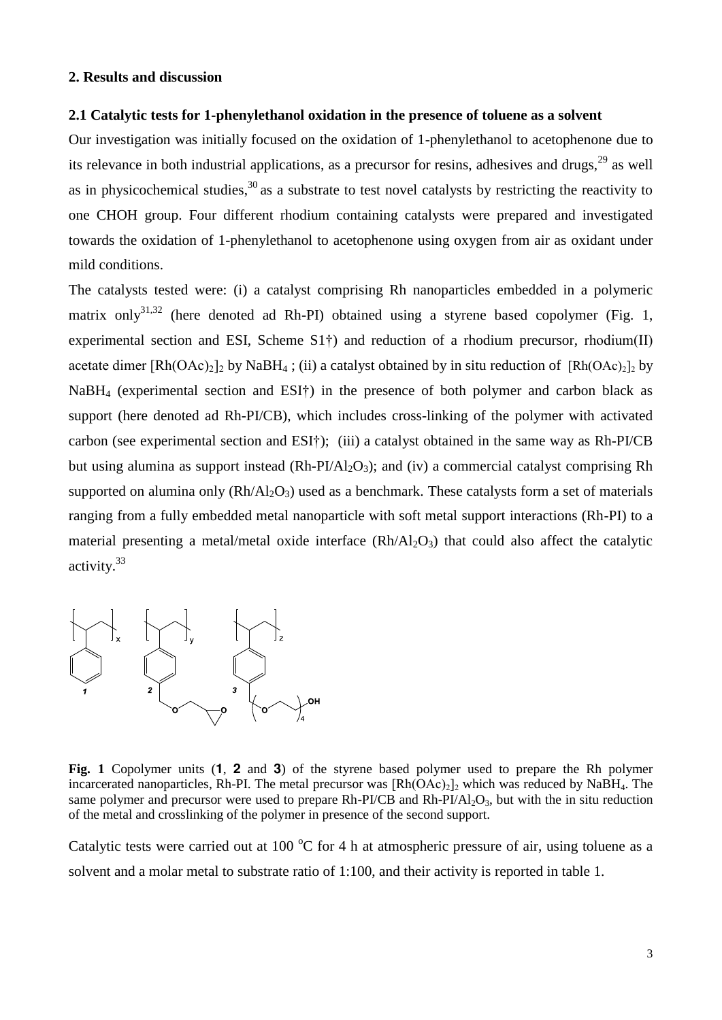## **2. Results and discussion**

## **2.1 Catalytic tests for 1-phenylethanol oxidation in the presence of toluene as a solvent**

Our investigation was initially focused on the oxidation of 1-phenylethanol to acetophenone due to its relevance in both industrial applications, as a precursor for resins, adhesives and drugs,<sup>29</sup> as well as in physicochemical studies, $30$  as a substrate to test novel catalysts by restricting the reactivity to one CHOH group. Four different rhodium containing catalysts were prepared and investigated towards the oxidation of 1-phenylethanol to acetophenone using oxygen from air as oxidant under mild conditions.

The catalysts tested were: (i) a catalyst comprising Rh nanoparticles embedded in a polymeric matrix only<sup>31,32</sup> (here denoted ad Rh-PI) obtained using a styrene based copolymer (Fig. 1, experimental section and ESI, Scheme  $S1<sup>+</sup>$ ) and reduction of a rhodium precursor, rhodium(II) acetate dimer  $[Rh(OAc)_2]$  by NaBH<sub>4</sub>; (ii) a catalyst obtained by in situ reduction of  $[Rh(OAc)_2]$  by NaBH<sub>4</sub> (experimental section and ESI<sup>†</sup>) in the presence of both polymer and carbon black as support (here denoted ad Rh-PI/CB), which includes cross-linking of the polymer with activated carbon (see experimental section and ESI†); (iii) a catalyst obtained in the same way as Rh-PI/CB but using alumina as support instead  $(Rh-PI/Al<sub>2</sub>O<sub>3</sub>)$ ; and (iv) a commercial catalyst comprising Rh supported on alumina only  $(Rh/A_2O_3)$  used as a benchmark. These catalysts form a set of materials ranging from a fully embedded metal nanoparticle with soft metal support interactions (Rh-PI) to a material presenting a metal/metal oxide interface  $(Rh/Al_2O_3)$  that could also affect the catalytic activity.<sup>33</sup>



**Fig. 1** Copolymer units (**1**, **2** and **3**) of the styrene based polymer used to prepare the Rh polymer incarcerated nanoparticles, Rh-PI. The metal precursor was  $\text{[Rh(OAc)}_2\text{]}_2$  which was reduced by NaBH<sub>4</sub>. The same polymer and precursor were used to prepare Rh-PI/CB and Rh-PI/Al<sub>2</sub>O<sub>3</sub>, but with the in situ reduction of the metal and crosslinking of the polymer in presence of the second support.

Catalytic tests were carried out at 100  $\degree$ C for 4 h at atmospheric pressure of air, using toluene as a solvent and a molar metal to substrate ratio of 1:100, and their activity is reported in table 1.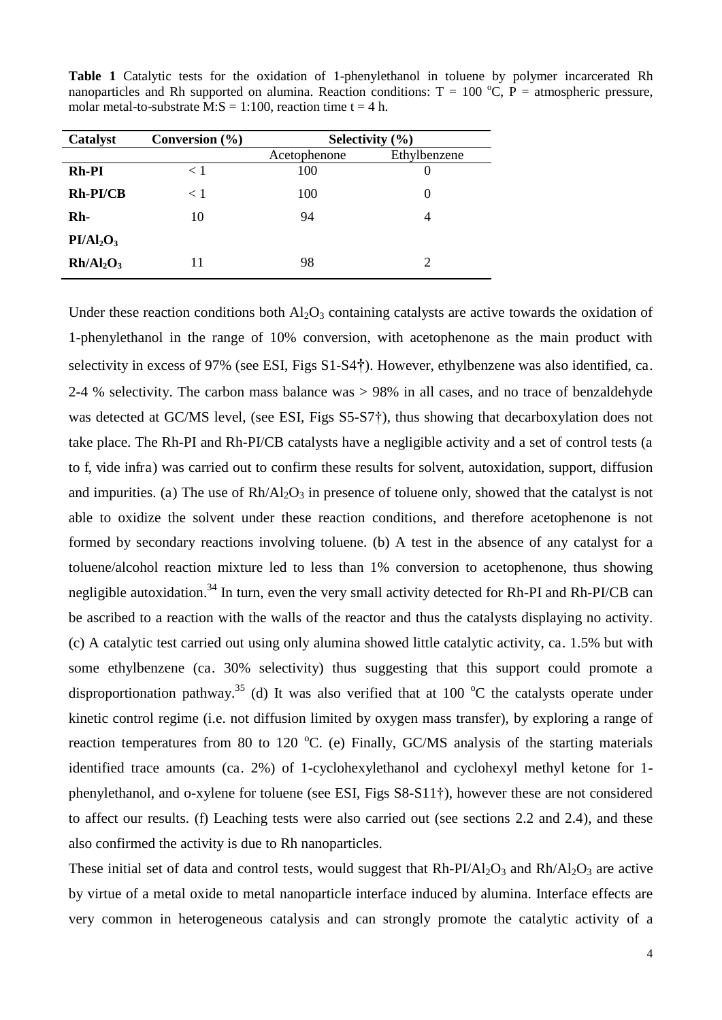**Table 1** Catalytic tests for the oxidation of 1-phenylethanol in toluene by polymer incarcerated Rh nanoparticles and Rh supported on alumina. Reaction conditions:  $T = 100 \degree C$ , P = atmospheric pressure, molar metal-to-substrate M:S = 1:100, reaction time  $t = 4$  h.

| Catalyst                          | Conversion $(\% )$ | Selectivity $(\% )$ |              |  |
|-----------------------------------|--------------------|---------------------|--------------|--|
|                                   |                    | Acetophenone        | Ethylbenzene |  |
| Rh-PI                             | < 1                | 100                 | $_{0}$       |  |
| Rh-PI/CB                          | < 1                | 100                 | $\theta$     |  |
| Rh-                               | 10                 | 94                  |              |  |
| PI/Al <sub>2</sub> O <sub>3</sub> |                    |                     |              |  |
| Rh/Al <sub>2</sub> O <sub>3</sub> | 11                 | 98                  | 2            |  |

Under these reaction conditions both  $\text{Al}_2\text{O}_3$  containing catalysts are active towards the oxidation of 1-phenylethanol in the range of 10% conversion, with acetophenone as the main product with selectivity in excess of 97% (see ESI, Figs S1-S4**†**). However, ethylbenzene was also identified, ca. 2-4 % selectivity. The carbon mass balance was > 98% in all cases, and no trace of benzaldehyde was detected at GC/MS level, (see ESI, Figs S5-S7†), thus showing that decarboxylation does not take place. The Rh-PI and Rh-PI/CB catalysts have a negligible activity and a set of control tests (a to f, vide infra) was carried out to confirm these results for solvent, autoxidation, support, diffusion and impurities. (a) The use of  $Rh/Al_2O_3$  in presence of toluene only, showed that the catalyst is not able to oxidize the solvent under these reaction conditions, and therefore acetophenone is not formed by secondary reactions involving toluene. (b) A test in the absence of any catalyst for a toluene/alcohol reaction mixture led to less than 1% conversion to acetophenone, thus showing negligible autoxidation.<sup>34</sup> In turn, even the very small activity detected for Rh-PI and Rh-PI/CB can be ascribed to a reaction with the walls of the reactor and thus the catalysts displaying no activity. (c) A catalytic test carried out using only alumina showed little catalytic activity, ca. 1.5% but with some ethylbenzene (ca. 30% selectivity) thus suggesting that this support could promote a disproportionation pathway.<sup>35</sup> (d) It was also verified that at 100  $^{\circ}$ C the catalysts operate under kinetic control regime (i.e. not diffusion limited by oxygen mass transfer), by exploring a range of reaction temperatures from 80 to 120  $^{\circ}$ C. (e) Finally, GC/MS analysis of the starting materials identified trace amounts (ca. 2%) of 1-cyclohexylethanol and cyclohexyl methyl ketone for 1 phenylethanol, and o-xylene for toluene (see ESI, Figs S8-S11†), however these are not considered to affect our results. (f) Leaching tests were also carried out (see sections 2.2 and 2.4), and these also confirmed the activity is due to Rh nanoparticles.

These initial set of data and control tests, would suggest that  $Rh-PI/AI_2O_3$  and  $Rh/AI_2O_3$  are active by virtue of a metal oxide to metal nanoparticle interface induced by alumina. Interface effects are very common in heterogeneous catalysis and can strongly promote the catalytic activity of a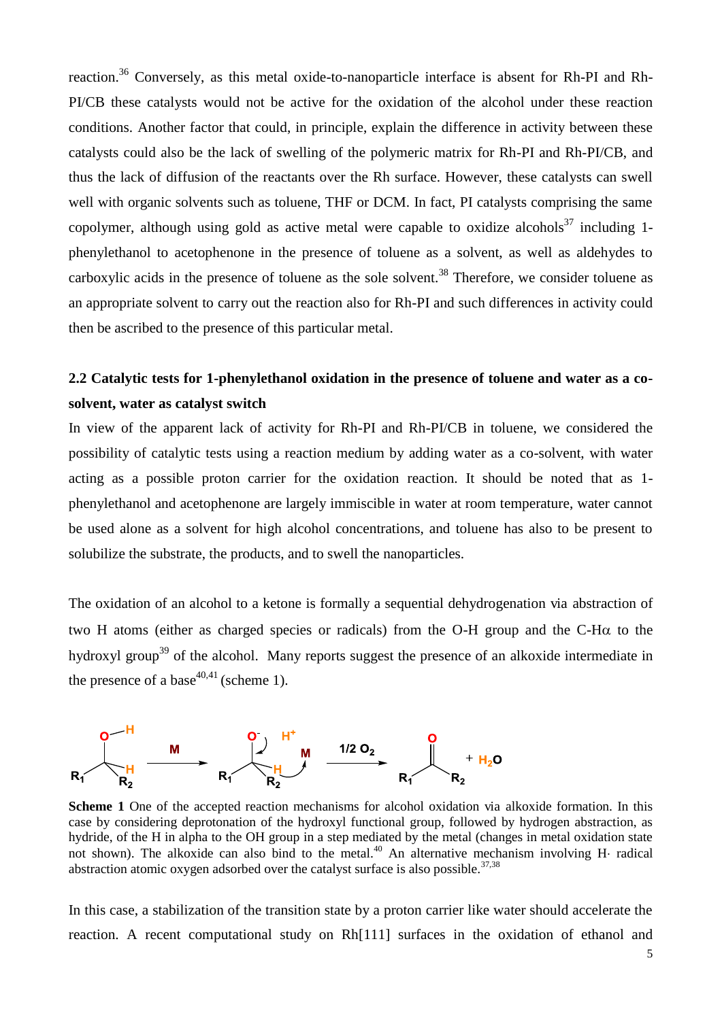reaction.<sup>36</sup> Conversely, as this metal oxide-to-nanoparticle interface is absent for Rh-PI and Rh-PI/CB these catalysts would not be active for the oxidation of the alcohol under these reaction conditions. Another factor that could, in principle, explain the difference in activity between these catalysts could also be the lack of swelling of the polymeric matrix for Rh-PI and Rh-PI/CB, and thus the lack of diffusion of the reactants over the Rh surface. However, these catalysts can swell well with organic solvents such as toluene, THF or DCM. In fact, PI catalysts comprising the same copolymer, although using gold as active metal were capable to oxidize alcohols<sup>37</sup> including 1phenylethanol to acetophenone in the presence of toluene as a solvent, as well as aldehydes to carboxylic acids in the presence of toluene as the sole solvent.<sup>38</sup> Therefore, we consider toluene as an appropriate solvent to carry out the reaction also for Rh-PI and such differences in activity could then be ascribed to the presence of this particular metal.

## **2.2 Catalytic tests for 1-phenylethanol oxidation in the presence of toluene and water as a cosolvent, water as catalyst switch**

In view of the apparent lack of activity for Rh-PI and Rh-PI/CB in toluene, we considered the possibility of catalytic tests using a reaction medium by adding water as a co-solvent, with water acting as a possible proton carrier for the oxidation reaction. It should be noted that as 1 phenylethanol and acetophenone are largely immiscible in water at room temperature, water cannot be used alone as a solvent for high alcohol concentrations, and toluene has also to be present to solubilize the substrate, the products, and to swell the nanoparticles.

The oxidation of an alcohol to a ketone is formally a sequential dehydrogenation via abstraction of two H atoms (either as charged species or radicals) from the O-H group and the C-H $\alpha$  to the hydroxyl group<sup>39</sup> of the alcohol. Many reports suggest the presence of an alkoxide intermediate in the presence of a base<sup>40,41</sup> (scheme 1).



**Scheme 1** One of the accepted reaction mechanisms for alcohol oxidation via alkoxide formation. In this case by considering deprotonation of the hydroxyl functional group, followed by hydrogen abstraction, as hydride, of the H in alpha to the OH group in a step mediated by the metal (changes in metal oxidation state not shown). The alkoxide can also bind to the metal.<sup>40</sup> An alternative mechanism involving H radical abstraction atomic oxygen adsorbed over the catalyst surface is also possible.<sup>37,38</sup>

In this case, a stabilization of the transition state by a proton carrier like water should accelerate the reaction. A recent computational study on Rh[111] surfaces in the oxidation of ethanol and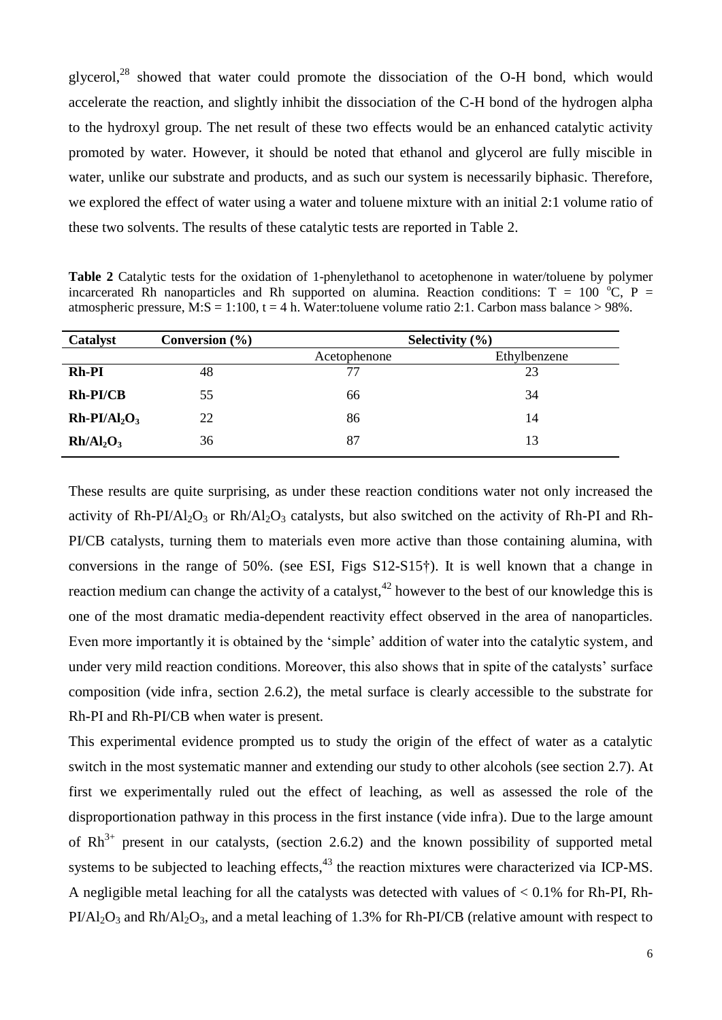glycerol, $^{28}$  showed that water could promote the dissociation of the O-H bond, which would accelerate the reaction, and slightly inhibit the dissociation of the C-H bond of the hydrogen alpha to the hydroxyl group. The net result of these two effects would be an enhanced catalytic activity promoted by water. However, it should be noted that ethanol and glycerol are fully miscible in water, unlike our substrate and products, and as such our system is necessarily biphasic. Therefore, we explored the effect of water using a water and toluene mixture with an initial 2:1 volume ratio of these two solvents. The results of these catalytic tests are reported in Table 2.

**Table 2** Catalytic tests for the oxidation of 1-phenylethanol to acetophenone in water/toluene by polymer incarcerated Rh nanoparticles and Rh supported on alumina. Reaction conditions:  $T = 100^{\circ}C$ , P = atmospheric pressure, M:S = 1:100, t = 4 h. Water: toluene volume ratio 2:1. Carbon mass balance > 98%.

| Catalyst                          | Conversion $(\% )$ | Selectivity $(\% )$ |              |  |
|-----------------------------------|--------------------|---------------------|--------------|--|
|                                   |                    | Acetophenone        | Ethylbenzene |  |
| <b>Rh-PI</b>                      | 48                 | 77                  | 23           |  |
| $Rh-PI/CB$                        | 55                 | 66                  | 34           |  |
| $Rh-PI/Al2O3$                     | 22                 | 86                  | 14           |  |
| Rh/Al <sub>2</sub> O <sub>3</sub> | 36                 | 87                  | 13           |  |

These results are quite surprising, as under these reaction conditions water not only increased the activity of Rh-PI/Al<sub>2</sub>O<sub>3</sub> or Rh/Al<sub>2</sub>O<sub>3</sub> catalysts, but also switched on the activity of Rh-PI and Rh-PI/CB catalysts, turning them to materials even more active than those containing alumina, with conversions in the range of 50%. (see ESI, Figs S12-S15†). It is well known that a change in reaction medium can change the activity of a catalyst,  $42$  however to the best of our knowledge this is one of the most dramatic media-dependent reactivity effect observed in the area of nanoparticles. Even more importantly it is obtained by the 'simple' addition of water into the catalytic system, and under very mild reaction conditions. Moreover, this also shows that in spite of the catalysts' surface composition (vide infra, section 2.6.2), the metal surface is clearly accessible to the substrate for Rh-PI and Rh-PI/CB when water is present.

This experimental evidence prompted us to study the origin of the effect of water as a catalytic switch in the most systematic manner and extending our study to other alcohols (see section 2.7). At first we experimentally ruled out the effect of leaching, as well as assessed the role of the disproportionation pathway in this process in the first instance (vide infra). Due to the large amount of  $Rh^{3+}$  present in our catalysts, (section 2.6.2) and the known possibility of supported metal systems to be subjected to leaching effects, $^{43}$  the reaction mixtures were characterized via ICP-MS. A negligible metal leaching for all the catalysts was detected with values of < 0.1% for Rh-PI, Rh- $PI/Al_2O_3$  and  $Rh/Al_2O_3$ , and a metal leaching of 1.3% for Rh-PI/CB (relative amount with respect to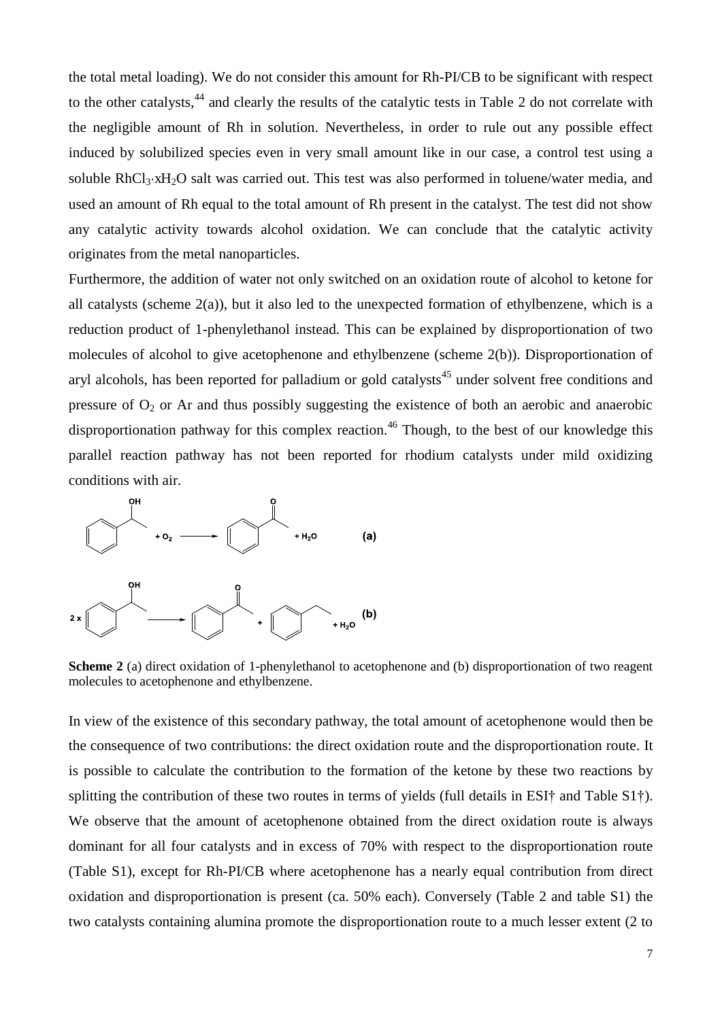the total metal loading). We do not consider this amount for Rh-PI/CB to be significant with respect to the other catalysts,<sup>44</sup> and clearly the results of the catalytic tests in Table 2 do not correlate with the negligible amount of Rh in solution. Nevertheless, in order to rule out any possible effect induced by solubilized species even in very small amount like in our case, a control test using a soluble RhCl<sub>3</sub>·xH<sub>2</sub>O salt was carried out. This test was also performed in toluene/water media, and used an amount of Rh equal to the total amount of Rh present in the catalyst. The test did not show any catalytic activity towards alcohol oxidation. We can conclude that the catalytic activity originates from the metal nanoparticles.

Furthermore, the addition of water not only switched on an oxidation route of alcohol to ketone for all catalysts (scheme  $2(a)$ ), but it also led to the unexpected formation of ethylbenzene, which is a reduction product of 1-phenylethanol instead. This can be explained by disproportionation of two molecules of alcohol to give acetophenone and ethylbenzene (scheme 2(b)). Disproportionation of aryl alcohols, has been reported for palladium or gold catalysts<sup>45</sup> under solvent free conditions and pressure of  $O_2$  or Ar and thus possibly suggesting the existence of both an aerobic and anaerobic disproportionation pathway for this complex reaction.<sup>46</sup> Though, to the best of our knowledge this parallel reaction pathway has not been reported for rhodium catalysts under mild oxidizing conditions with air.



**Scheme 2** (a) direct oxidation of 1-phenylethanol to acetophenone and (b) disproportionation of two reagent molecules to acetophenone and ethylbenzene.

In view of the existence of this secondary pathway, the total amount of acetophenone would then be the consequence of two contributions: the direct oxidation route and the disproportionation route. It is possible to calculate the contribution to the formation of the ketone by these two reactions by splitting the contribution of these two routes in terms of yields (full details in ESI† and Table S1†). We observe that the amount of acetophenone obtained from the direct oxidation route is always dominant for all four catalysts and in excess of 70% with respect to the disproportionation route (Table S1), except for Rh-PI/CB where acetophenone has a nearly equal contribution from direct oxidation and disproportionation is present (ca. 50% each). Conversely (Table 2 and table S1) the two catalysts containing alumina promote the disproportionation route to a much lesser extent (2 to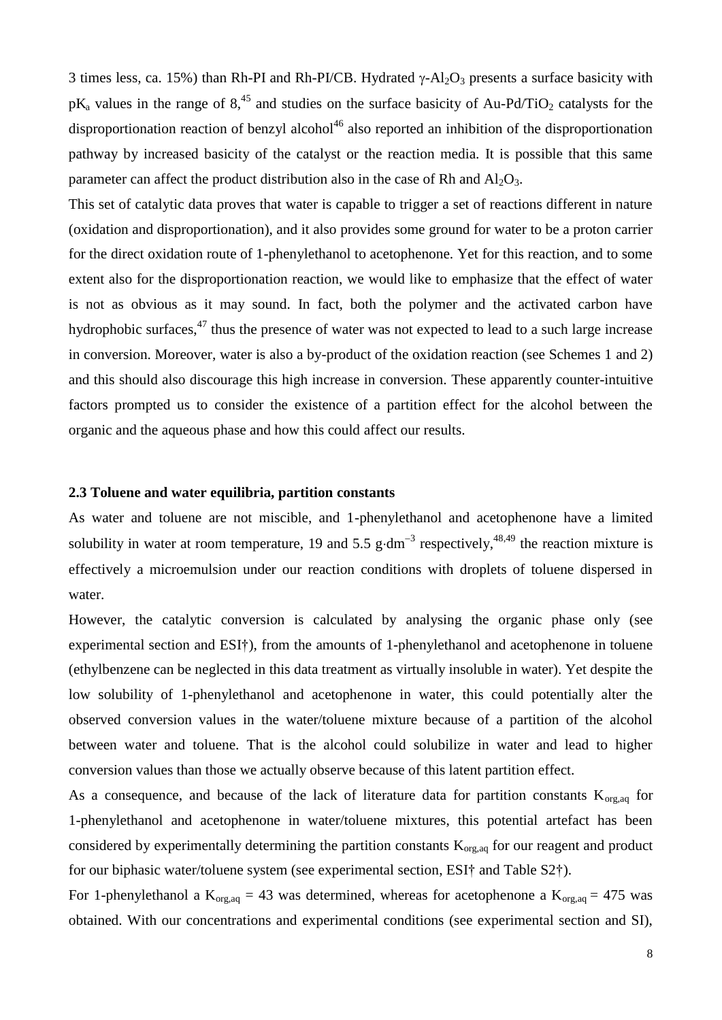3 times less, ca. 15%) than Rh-PI and Rh-PI/CB. Hydrated  $\gamma$ -Al<sub>2</sub>O<sub>3</sub> presents a surface basicity with  $pK_a$  values in the range of 8,<sup>45</sup> and studies on the surface basicity of Au-Pd/TiO<sub>2</sub> catalysts for the disproportionation reaction of benzyl alcohol<sup>46</sup> also reported an inhibition of the disproportionation pathway by increased basicity of the catalyst or the reaction media. It is possible that this same parameter can affect the product distribution also in the case of Rh and  $Al_2O_3$ .

This set of catalytic data proves that water is capable to trigger a set of reactions different in nature (oxidation and disproportionation), and it also provides some ground for water to be a proton carrier for the direct oxidation route of 1-phenylethanol to acetophenone. Yet for this reaction, and to some extent also for the disproportionation reaction, we would like to emphasize that the effect of water is not as obvious as it may sound. In fact, both the polymer and the activated carbon have hydrophobic surfaces, $47$  thus the presence of water was not expected to lead to a such large increase in conversion. Moreover, water is also a by-product of the oxidation reaction (see Schemes 1 and 2) and this should also discourage this high increase in conversion. These apparently counter-intuitive factors prompted us to consider the existence of a partition effect for the alcohol between the organic and the aqueous phase and how this could affect our results.

#### **2.3 Toluene and water equilibria, partition constants**

As water and toluene are not miscible, and 1-phenylethanol and acetophenone have a limited solubility in water at room temperature, 19 and 5.5  $\text{g} \cdot \text{dm}^{-3}$  respectively,<sup>48,49</sup> the reaction mixture is effectively a microemulsion under our reaction conditions with droplets of toluene dispersed in water.

However, the catalytic conversion is calculated by analysing the organic phase only (see experimental section and ESI†), from the amounts of 1-phenylethanol and acetophenone in toluene (ethylbenzene can be neglected in this data treatment as virtually insoluble in water). Yet despite the low solubility of 1-phenylethanol and acetophenone in water, this could potentially alter the observed conversion values in the water/toluene mixture because of a partition of the alcohol between water and toluene. That is the alcohol could solubilize in water and lead to higher conversion values than those we actually observe because of this latent partition effect.

As a consequence, and because of the lack of literature data for partition constants  $K_{org,aq}$  for 1-phenylethanol and acetophenone in water/toluene mixtures, this potential artefact has been considered by experimentally determining the partition constants  $K_{org,aq}$  for our reagent and product for our biphasic water/toluene system (see experimental section, ESI† and Table S2†).

For 1-phenylethanol a  $K_{org,aq} = 43$  was determined, whereas for acetophenone a  $K_{org,aq} = 475$  was obtained. With our concentrations and experimental conditions (see experimental section and SI),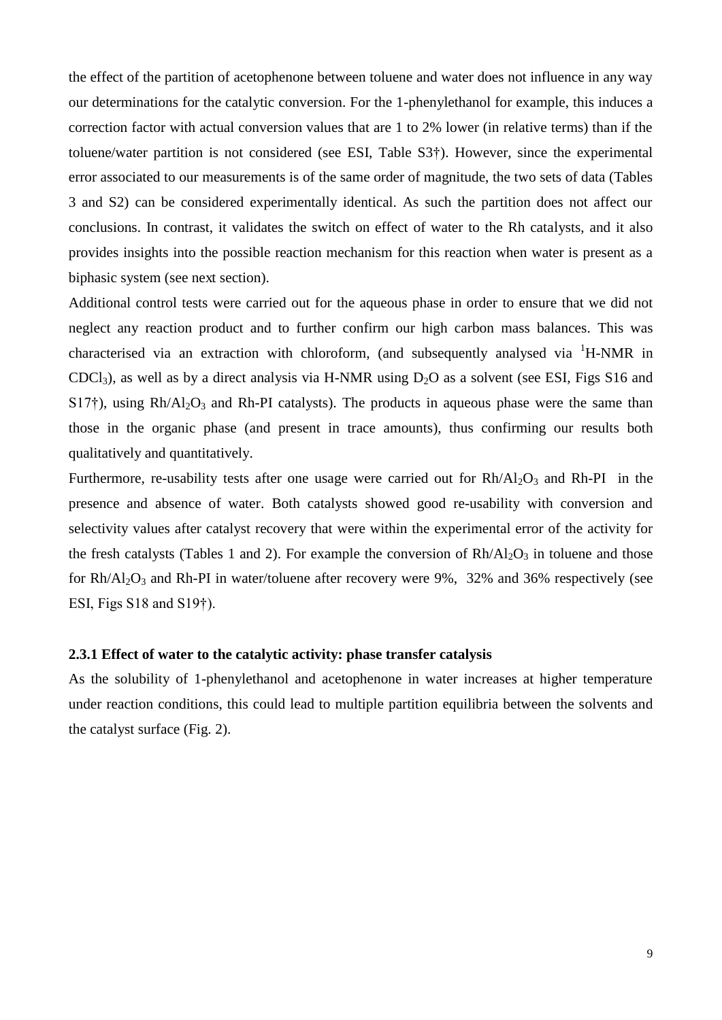the effect of the partition of acetophenone between toluene and water does not influence in any way our determinations for the catalytic conversion. For the 1-phenylethanol for example, this induces a correction factor with actual conversion values that are 1 to 2% lower (in relative terms) than if the toluene/water partition is not considered (see ESI, Table S3†). However, since the experimental error associated to our measurements is of the same order of magnitude, the two sets of data (Tables 3 and S2) can be considered experimentally identical. As such the partition does not affect our conclusions. In contrast, it validates the switch on effect of water to the Rh catalysts, and it also provides insights into the possible reaction mechanism for this reaction when water is present as a biphasic system (see next section).

Additional control tests were carried out for the aqueous phase in order to ensure that we did not neglect any reaction product and to further confirm our high carbon mass balances. This was characterised via an extraction with chloroform, (and subsequently analysed via  ${}^{1}$ H-NMR in CDCl<sub>3</sub>), as well as by a direct analysis via H-NMR using  $D_2O$  as a solvent (see ESI, Figs S16 and  $S17\dagger$ ), using Rh/Al<sub>2</sub>O<sub>3</sub> and Rh-PI catalysts). The products in aqueous phase were the same than those in the organic phase (and present in trace amounts), thus confirming our results both qualitatively and quantitatively.

Furthermore, re-usability tests after one usage were carried out for  $Rh / Al<sub>2</sub>O<sub>3</sub>$  and Rh-PI in the presence and absence of water. Both catalysts showed good re-usability with conversion and selectivity values after catalyst recovery that were within the experimental error of the activity for the fresh catalysts (Tables 1 and 2). For example the conversion of  $Rh/Al_2O_3$  in toluene and those for  $Rh/Al_2O_3$  and  $Rh-PI$  in water/toluene after recovery were 9%, 32% and 36% respectively (see ESI, Figs S18 and S19†).

#### **2.3.1 Effect of water to the catalytic activity: phase transfer catalysis**

As the solubility of 1-phenylethanol and acetophenone in water increases at higher temperature under reaction conditions, this could lead to multiple partition equilibria between the solvents and the catalyst surface (Fig. 2).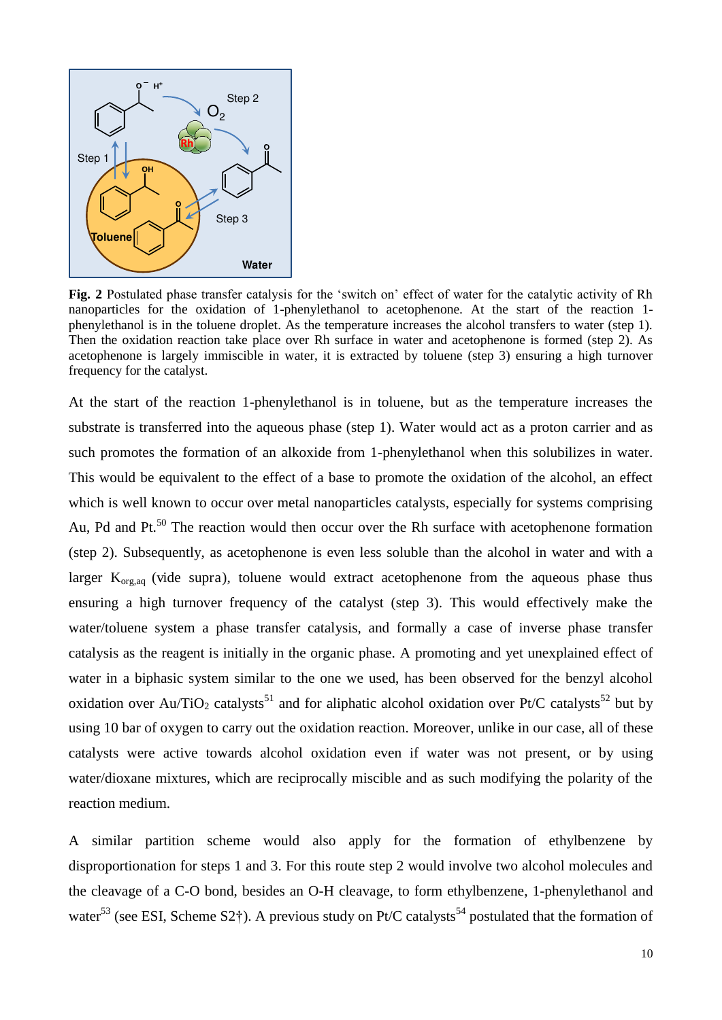

**Fig. 2** Postulated phase transfer catalysis for the 'switch on' effect of water for the catalytic activity of Rh nanoparticles for the oxidation of 1-phenylethanol to acetophenone. At the start of the reaction 1 phenylethanol is in the toluene droplet. As the temperature increases the alcohol transfers to water (step 1). Then the oxidation reaction take place over Rh surface in water and acetophenone is formed (step 2). As acetophenone is largely immiscible in water, it is extracted by toluene (step 3) ensuring a high turnover frequency for the catalyst.

At the start of the reaction 1-phenylethanol is in toluene, but as the temperature increases the substrate is transferred into the aqueous phase (step 1). Water would act as a proton carrier and as such promotes the formation of an alkoxide from 1-phenylethanol when this solubilizes in water. This would be equivalent to the effect of a base to promote the oxidation of the alcohol, an effect which is well known to occur over metal nanoparticles catalysts, especially for systems comprising Au, Pd and Pt.<sup>50</sup> The reaction would then occur over the Rh surface with acetophenone formation (step 2). Subsequently, as acetophenone is even less soluble than the alcohol in water and with a larger  $K_{\text{org,aq}}$  (vide supra), toluene would extract acetophenone from the aqueous phase thus ensuring a high turnover frequency of the catalyst (step 3). This would effectively make the water/toluene system a phase transfer catalysis, and formally a case of inverse phase transfer catalysis as the reagent is initially in the organic phase. A promoting and yet unexplained effect of water in a biphasic system similar to the one we used, has been observed for the benzyl alcohol oxidation over Au/TiO<sub>2</sub> catalysts<sup>51</sup> and for aliphatic alcohol oxidation over Pt/C catalysts<sup>52</sup> but by using 10 bar of oxygen to carry out the oxidation reaction. Moreover, unlike in our case, all of these catalysts were active towards alcohol oxidation even if water was not present, or by using water/dioxane mixtures, which are reciprocally miscible and as such modifying the polarity of the reaction medium.

A similar partition scheme would also apply for the formation of ethylbenzene by disproportionation for steps 1 and 3. For this route step 2 would involve two alcohol molecules and the cleavage of a C-O bond, besides an O-H cleavage, to form ethylbenzene, 1-phenylethanol and water<sup>53</sup> (see ESI, Scheme S2†). A previous study on Pt/C catalysts<sup>54</sup> postulated that the formation of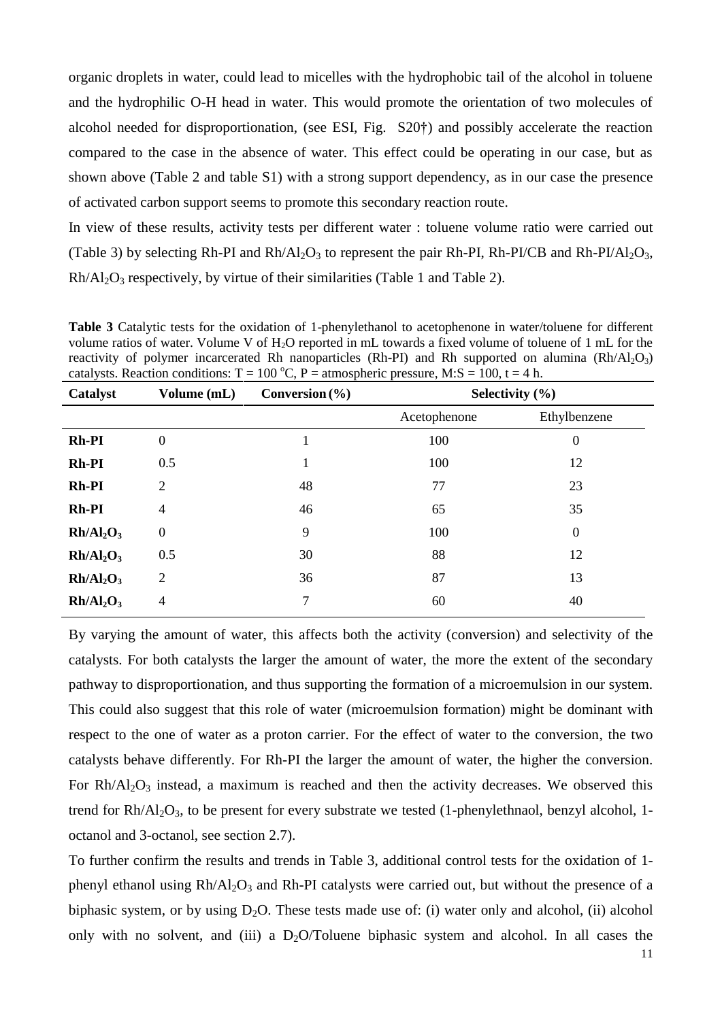organic droplets in water, could lead to micelles with the hydrophobic tail of the alcohol in toluene and the hydrophilic O-H head in water. This would promote the orientation of two molecules of alcohol needed for disproportionation, (see ESI, Fig. S20†) and possibly accelerate the reaction compared to the case in the absence of water. This effect could be operating in our case, but as shown above (Table 2 and table S1) with a strong support dependency, as in our case the presence of activated carbon support seems to promote this secondary reaction route.

In view of these results, activity tests per different water : toluene volume ratio were carried out (Table 3) by selecting Rh-PI and  $Rh/Al_2O_3$  to represent the pair Rh-PI, Rh-PI/CB and Rh-PI/Al<sub>2</sub>O<sub>3</sub>,  $Rh/Al_2O_3$  respectively, by virtue of their similarities (Table 1 and Table 2).

**Table 3** Catalytic tests for the oxidation of 1-phenylethanol to acetophenone in water/toluene for different volume ratios of water. Volume V of H<sub>2</sub>O reported in mL towards a fixed volume of toluene of 1 mL for the reactivity of polymer incarcerated Rh nanoparticles (Rh-PI) and Rh supported on alumina  $(Rh/Al<sub>2</sub>O<sub>3</sub>)$ catalysts. Reaction conditions:  $T = 100 \degree C$ , P = atmospheric pressure, M:S = 100, t = 4 h.

| Catalyst                          | Volume (mL)      | Conversion $(\% )$ | Selectivity $(\% )$ |                  |
|-----------------------------------|------------------|--------------------|---------------------|------------------|
|                                   |                  |                    | Acetophenone        | Ethylbenzene     |
| Rh-PI                             | $\boldsymbol{0}$ |                    | 100                 | $\overline{0}$   |
| <b>Rh-PI</b>                      | 0.5              | 1                  | 100                 | 12               |
| <b>Rh-PI</b>                      | $\overline{2}$   | 48                 | 77                  | 23               |
| <b>Rh-PI</b>                      | 4                | 46                 | 65                  | 35               |
| Rh/Al <sub>2</sub> O <sub>3</sub> | $\boldsymbol{0}$ | 9                  | 100                 | $\boldsymbol{0}$ |
| Rh/Al <sub>2</sub> O <sub>3</sub> | 0.5              | 30                 | 88                  | 12               |
| Rh/Al <sub>2</sub> O <sub>3</sub> | $\overline{2}$   | 36                 | 87                  | 13               |
| Rh/Al <sub>2</sub> O <sub>3</sub> | 4                | 7                  | 60                  | 40               |

By varying the amount of water, this affects both the activity (conversion) and selectivity of the catalysts. For both catalysts the larger the amount of water, the more the extent of the secondary pathway to disproportionation, and thus supporting the formation of a microemulsion in our system. This could also suggest that this role of water (microemulsion formation) might be dominant with respect to the one of water as a proton carrier. For the effect of water to the conversion, the two catalysts behave differently. For Rh-PI the larger the amount of water, the higher the conversion. For  $Rh/Al_2O_3$  instead, a maximum is reached and then the activity decreases. We observed this trend for  $Rh/Al_2O_3$ , to be present for every substrate we tested (1-phenylethnaol, benzyl alcohol, 1octanol and 3-octanol, see section 2.7).

To further confirm the results and trends in Table 3, additional control tests for the oxidation of 1 phenyl ethanol using  $Rh/Al_2O_3$  and  $Rh-PI$  catalysts were carried out, but without the presence of a biphasic system, or by using  $D_2O$ . These tests made use of: (i) water only and alcohol, (ii) alcohol only with no solvent, and (iii) a  $D_2O/T$ oluene biphasic system and alcohol. In all cases the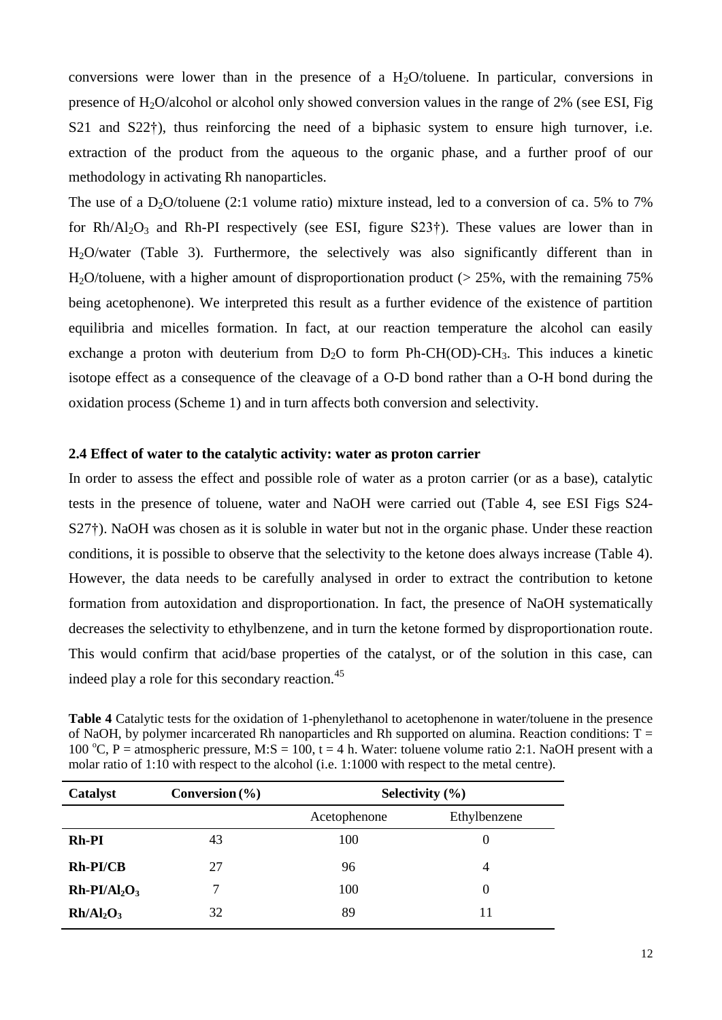conversions were lower than in the presence of a  $H_2O$ /toluene. In particular, conversions in presence of  $H_2O/a$ lcohol or alcohol only showed conversion values in the range of 2% (see ESI, Fig. S21 and S22<sup>†</sup>), thus reinforcing the need of a biphasic system to ensure high turnover, i.e. extraction of the product from the aqueous to the organic phase, and a further proof of our methodology in activating Rh nanoparticles.

The use of a D<sub>2</sub>O/toluene (2:1 volume ratio) mixture instead, led to a conversion of ca. 5% to 7% for  $Rh/Al_2O_3$  and  $Rh-PI$  respectively (see ESI, figure S23†). These values are lower than in H2O/water (Table 3). Furthermore, the selectively was also significantly different than in H<sub>2</sub>O/toluene, with a higher amount of disproportionation product ( $> 25\%$ , with the remaining 75% being acetophenone). We interpreted this result as a further evidence of the existence of partition equilibria and micelles formation. In fact, at our reaction temperature the alcohol can easily exchange a proton with deuterium from  $D_2O$  to form Ph-CH(OD)-CH<sub>3</sub>. This induces a kinetic isotope effect as a consequence of the cleavage of a O-D bond rather than a O-H bond during the oxidation process (Scheme 1) and in turn affects both conversion and selectivity.

#### **2.4 Effect of water to the catalytic activity: water as proton carrier**

In order to assess the effect and possible role of water as a proton carrier (or as a base), catalytic tests in the presence of toluene, water and NaOH were carried out (Table 4, see ESI Figs S24- S27†). NaOH was chosen as it is soluble in water but not in the organic phase. Under these reaction conditions, it is possible to observe that the selectivity to the ketone does always increase (Table 4). However, the data needs to be carefully analysed in order to extract the contribution to ketone formation from autoxidation and disproportionation. In fact, the presence of NaOH systematically decreases the selectivity to ethylbenzene, and in turn the ketone formed by disproportionation route. This would confirm that acid/base properties of the catalyst, or of the solution in this case, can indeed play a role for this secondary reaction.<sup>45</sup>

**Table 4** Catalytic tests for the oxidation of 1-phenylethanol to acetophenone in water/toluene in the presence of NaOH, by polymer incarcerated Rh nanoparticles and Rh supported on alumina. Reaction conditions:  $T =$ 100 °C, P = atmospheric pressure, M:S = 100, t = 4 h. Water: toluene volume ratio 2:1. NaOH present with a molar ratio of 1:10 with respect to the alcohol (i.e. 1:1000 with respect to the metal centre).

| Catalyst        | Conversion $(\% )$ | Selectivity $(\% )$ |              |
|-----------------|--------------------|---------------------|--------------|
|                 |                    | Acetophenone        | Ethylbenzene |
| <b>Rh-PI</b>    | 43                 | 100                 | $\theta$     |
| Rh-PI/CB        | 27                 | 96                  | 4            |
| $Rh-PI/Al_2O_3$ |                    | 100                 | $\Omega$     |
| $Rh/Al_2O_3$    | 32                 | 89                  | 11           |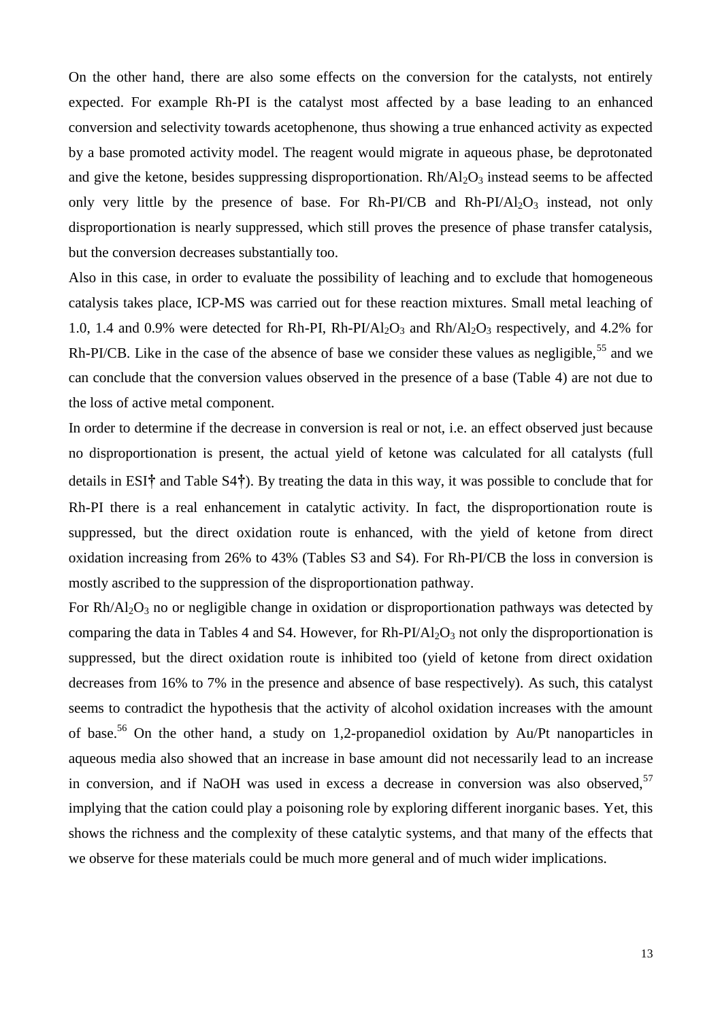On the other hand, there are also some effects on the conversion for the catalysts, not entirely expected. For example Rh-PI is the catalyst most affected by a base leading to an enhanced conversion and selectivity towards acetophenone, thus showing a true enhanced activity as expected by a base promoted activity model. The reagent would migrate in aqueous phase, be deprotonated and give the ketone, besides suppressing disproportionation.  $Rh/Al_2O_3$  instead seems to be affected only very little by the presence of base. For Rh-PI/CB and Rh-PI/Al<sub>2</sub>O<sub>3</sub> instead, not only disproportionation is nearly suppressed, which still proves the presence of phase transfer catalysis, but the conversion decreases substantially too.

Also in this case, in order to evaluate the possibility of leaching and to exclude that homogeneous catalysis takes place, ICP-MS was carried out for these reaction mixtures. Small metal leaching of 1.0, 1.4 and 0.9% were detected for Rh-PI, Rh-PI/Al<sub>2</sub>O<sub>3</sub> and Rh/Al<sub>2</sub>O<sub>3</sub> respectively, and 4.2% for Rh-PI/CB. Like in the case of the absence of base we consider these values as negligible,  $55$  and we can conclude that the conversion values observed in the presence of a base (Table 4) are not due to the loss of active metal component.

In order to determine if the decrease in conversion is real or not, i.e. an effect observed just because no disproportionation is present, the actual yield of ketone was calculated for all catalysts (full details in ESI**†** and Table S4**†**). By treating the data in this way, it was possible to conclude that for Rh-PI there is a real enhancement in catalytic activity. In fact, the disproportionation route is suppressed, but the direct oxidation route is enhanced, with the yield of ketone from direct oxidation increasing from 26% to 43% (Tables S3 and S4). For Rh-PI/CB the loss in conversion is mostly ascribed to the suppression of the disproportionation pathway.

For  $Rh/Al_2O_3$  no or negligible change in oxidation or disproportionation pathways was detected by comparing the data in Tables 4 and S4. However, for  $Rh-PI/Al_2O_3$  not only the disproportionation is suppressed, but the direct oxidation route is inhibited too (yield of ketone from direct oxidation decreases from 16% to 7% in the presence and absence of base respectively). As such, this catalyst seems to contradict the hypothesis that the activity of alcohol oxidation increases with the amount of base.<sup>56</sup> On the other hand, a study on 1,2-propanediol oxidation by Au/Pt nanoparticles in aqueous media also showed that an increase in base amount did not necessarily lead to an increase in conversion, and if NaOH was used in excess a decrease in conversion was also observed,  $57$ implying that the cation could play a poisoning role by exploring different inorganic bases. Yet, this shows the richness and the complexity of these catalytic systems, and that many of the effects that we observe for these materials could be much more general and of much wider implications.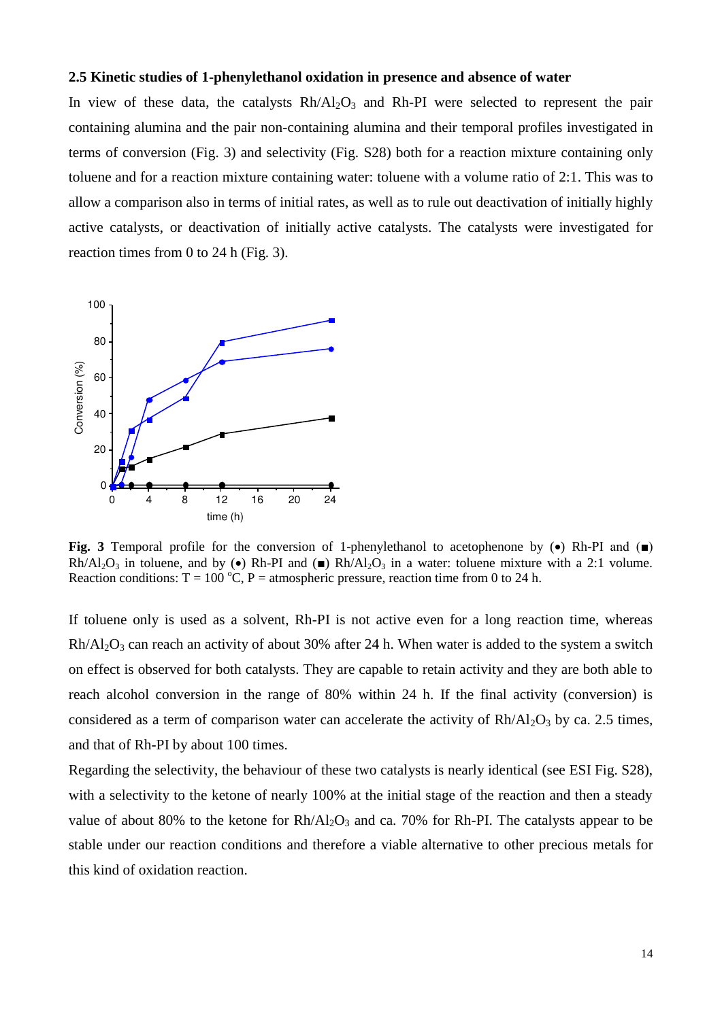## **2.5 Kinetic studies of 1-phenylethanol oxidation in presence and absence of water**

In view of these data, the catalysts  $Rh/Al_2O_3$  and  $Rh-PI$  were selected to represent the pair containing alumina and the pair non-containing alumina and their temporal profiles investigated in terms of conversion (Fig. 3) and selectivity (Fig. S28) both for a reaction mixture containing only toluene and for a reaction mixture containing water: toluene with a volume ratio of 2:1. This was to allow a comparison also in terms of initial rates, as well as to rule out deactivation of initially highly active catalysts, or deactivation of initially active catalysts. The catalysts were investigated for reaction times from 0 to 24 h (Fig. 3).



**Fig. 3** Temporal profile for the conversion of 1-phenylethanol to acetophenone by  $(\bullet)$  Rh-PI and  $(\bullet)$  $Rh/Al_2O_3$  in toluene, and by (•) Rh-PI and (■) Rh/Al<sub>2</sub>O<sub>3</sub> in a water: toluene mixture with a 2:1 volume. Reaction conditions:  $T = 100^{\circ}C$ , P = atmospheric pressure, reaction time from 0 to 24 h.

If toluene only is used as a solvent, Rh-PI is not active even for a long reaction time, whereas  $Rh/Al_2O_3$  can reach an activity of about 30% after 24 h. When water is added to the system a switch on effect is observed for both catalysts. They are capable to retain activity and they are both able to reach alcohol conversion in the range of 80% within 24 h. If the final activity (conversion) is considered as a term of comparison water can accelerate the activity of  $Rh / Al<sub>2</sub>O<sub>3</sub>$  by ca. 2.5 times, and that of Rh-PI by about 100 times.

Regarding the selectivity, the behaviour of these two catalysts is nearly identical (see ESI Fig. S28), with a selectivity to the ketone of nearly 100% at the initial stage of the reaction and then a steady value of about 80% to the ketone for  $Rh/Al_2O_3$  and ca. 70% for Rh-PI. The catalysts appear to be stable under our reaction conditions and therefore a viable alternative to other precious metals for this kind of oxidation reaction.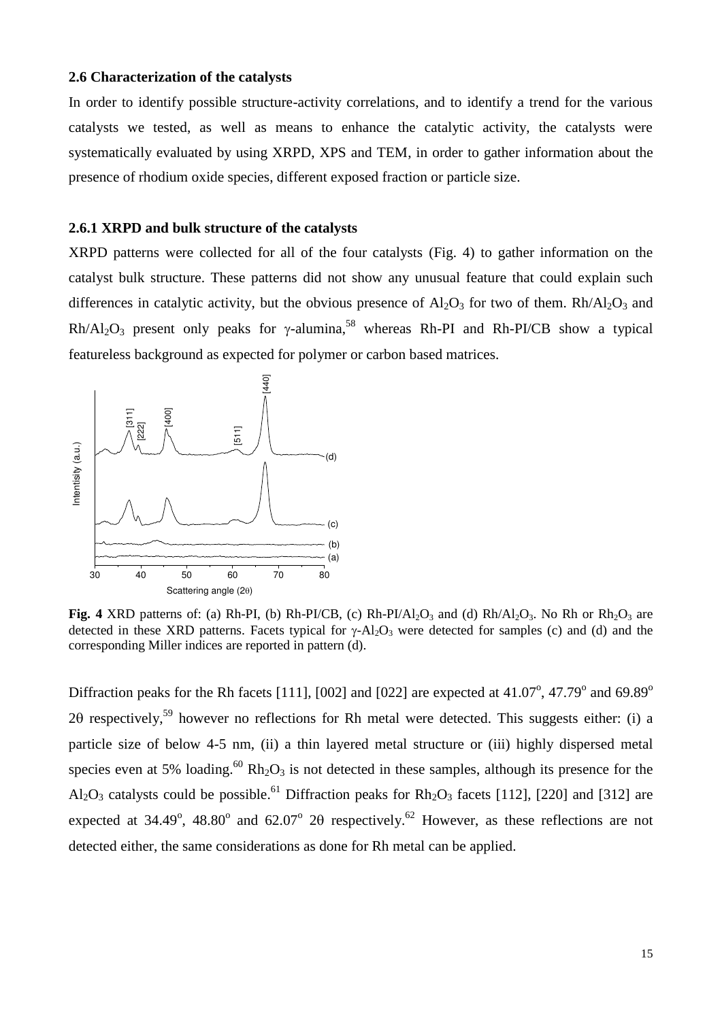## **2.6 Characterization of the catalysts**

In order to identify possible structure-activity correlations, and to identify a trend for the various catalysts we tested, as well as means to enhance the catalytic activity, the catalysts were systematically evaluated by using XRPD, XPS and TEM, in order to gather information about the presence of rhodium oxide species, different exposed fraction or particle size.

## **2.6.1 XRPD and bulk structure of the catalysts**

XRPD patterns were collected for all of the four catalysts (Fig. 4) to gather information on the catalyst bulk structure. These patterns did not show any unusual feature that could explain such differences in catalytic activity, but the obvious presence of  $A<sub>12</sub>O<sub>3</sub>$  for two of them. Rh/Al<sub>2</sub>O<sub>3</sub> and  $Rh/Al_2O_3$  present only peaks for  $\gamma$ -alumina,<sup>58</sup> whereas Rh-PI and Rh-PI/CB show a typical featureless background as expected for polymer or carbon based matrices.



**Fig. 4** XRD patterns of: (a) Rh-PI, (b) Rh-PI/CB, (c) Rh-PI/Al<sub>2</sub>O<sub>3</sub> and (d) Rh/Al<sub>2</sub>O<sub>3</sub>. No Rh or Rh<sub>2</sub>O<sub>3</sub> are detected in these XRD patterns. Facets typical for  $\gamma$ -Al<sub>2</sub>O<sub>3</sub> were detected for samples (c) and (d) and the corresponding Miller indices are reported in pattern (d).

Diffraction peaks for the Rh facets [111], [002] and [022] are expected at  $41.07^{\circ}$ ,  $47.79^{\circ}$  and  $69.89^{\circ}$ 20 respectively,<sup>59</sup> however no reflections for Rh metal were detected. This suggests either: (i) a particle size of below 4-5 nm, (ii) a thin layered metal structure or (iii) highly dispersed metal species even at 5% loading.<sup>60</sup> Rh<sub>2</sub>O<sub>3</sub> is not detected in these samples, although its presence for the Al<sub>2</sub>O<sub>3</sub> catalysts could be possible.<sup>61</sup> Diffraction peaks for  $Rh_2O_3$  facets [112], [220] and [312] are expected at 34.49°, 48.80° and 62.07° 20 respectively.<sup>62</sup> However, as these reflections are not detected either, the same considerations as done for Rh metal can be applied.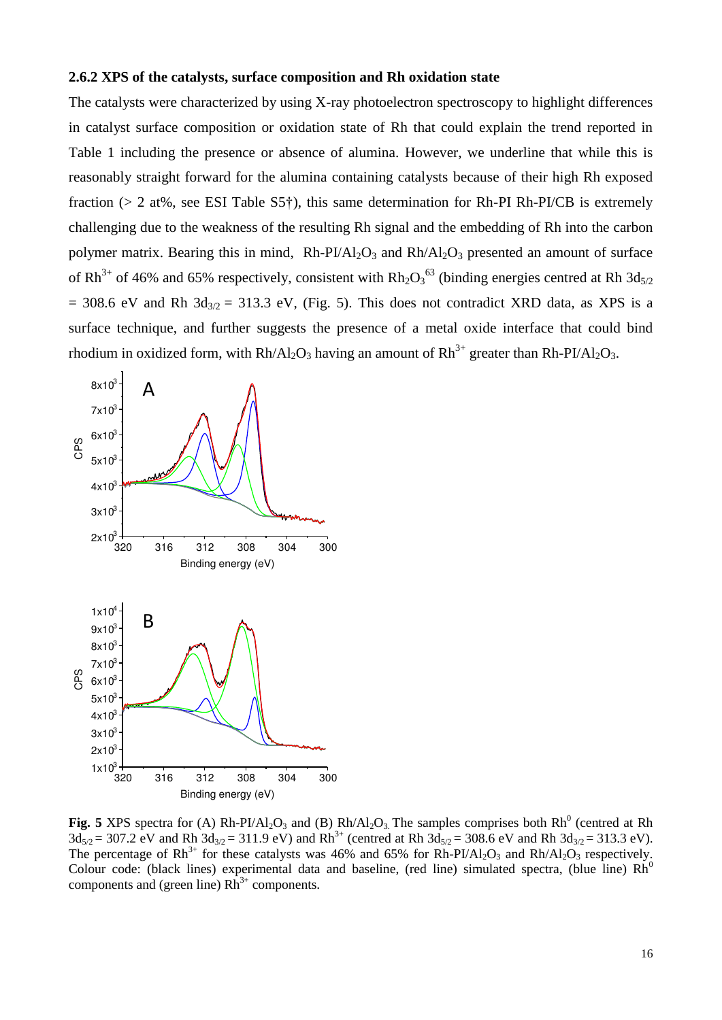#### **2.6.2 XPS of the catalysts, surface composition and Rh oxidation state**

The catalysts were characterized by using X-ray photoelectron spectroscopy to highlight differences in catalyst surface composition or oxidation state of Rh that could explain the trend reported in Table 1 including the presence or absence of alumina. However, we underline that while this is reasonably straight forward for the alumina containing catalysts because of their high Rh exposed fraction (> 2 at%, see ESI Table S5†), this same determination for Rh-PI Rh-PI/CB is extremely challenging due to the weakness of the resulting Rh signal and the embedding of Rh into the carbon polymer matrix. Bearing this in mind,  $Rh-PI/AI_2O_3$  and  $Rh/AI_2O_3$  presented an amount of surface of Rh<sup>3+</sup> of 46% and 65% respectively, consistent with  $Rh_2O_3^{63}$  (binding energies centred at Rh 3d<sub>5/2</sub>  $= 308.6$  eV and Rh  $3d_{3/2} = 313.3$  eV, (Fig. 5). This does not contradict XRD data, as XPS is a surface technique, and further suggests the presence of a metal oxide interface that could bind rhodium in oxidized form, with  $Rh/Al_2O_3$  having an amount of  $Rh^{3+}$  greater than  $Rh-PI/Al_2O_3$ .



**Fig. 5** XPS spectra for (A)  $Rh-PI/Al_2O_3$  and (B)  $Rh/Al_2O_3$ . The samples comprises both  $Rh^0$  (centred at Rh  $3d_{5/2} = 307.2$  eV and Rh  $3d_{3/2} = 311.9$  eV) and Rh<sup>3+</sup> (centred at Rh  $3d_{5/2} = 308.6$  eV and Rh  $3d_{3/2} = 313.3$  eV). The percentage of  $Rh^{3+}$  for these catalysts was 46% and 65% for  $Rh-PI/Al_2O_3$  and  $Rh/Al_2O_3$  respectively. Colour code: (black lines) experimental data and baseline, (red line) simulated spectra, (blue line)  $Rh^0$ components and (green line)  $Rh^{3+}$  components.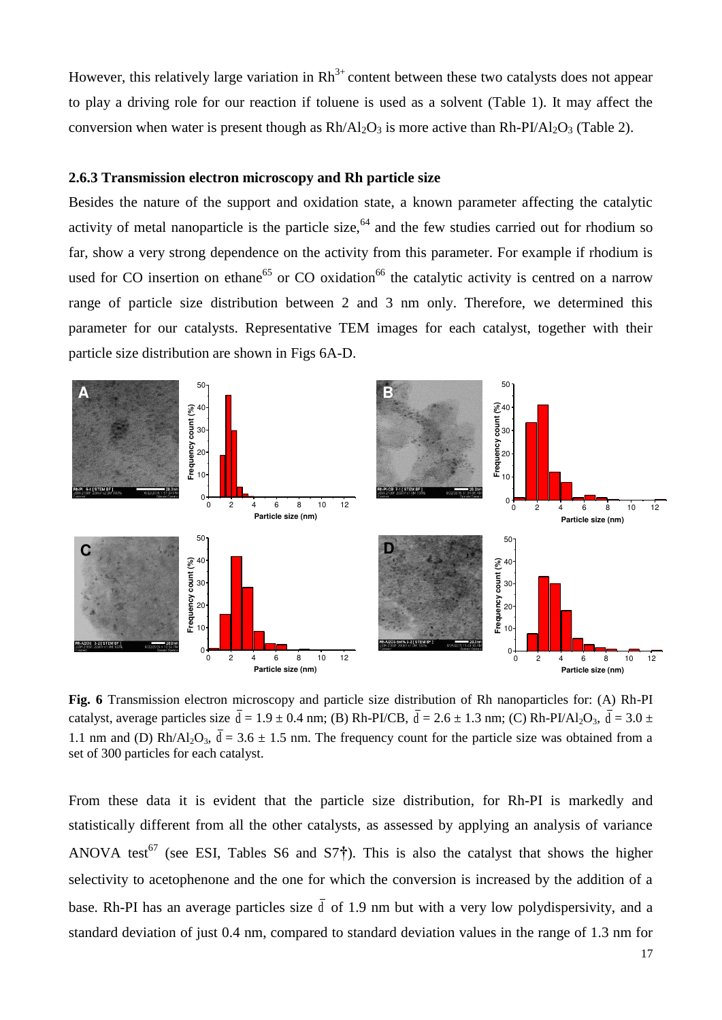However, this relatively large variation in  $Rh^{3+}$  content between these two catalysts does not appear to play a driving role for our reaction if toluene is used as a solvent (Table 1). It may affect the conversion when water is present though as  $Rh/Al_2O_3$  is more active than  $Rh-PI/Al_2O_3$  (Table 2).

## **2.6.3 Transmission electron microscopy and Rh particle size**

Besides the nature of the support and oxidation state, a known parameter affecting the catalytic activity of metal nanoparticle is the particle size,<sup>64</sup> and the few studies carried out for rhodium so far, show a very strong dependence on the activity from this parameter. For example if rhodium is used for CO insertion on ethane<sup>65</sup> or CO oxidation<sup>66</sup> the catalytic activity is centred on a narrow range of particle size distribution between 2 and 3 nm only. Therefore, we determined this parameter for our catalysts. Representative TEM images for each catalyst, together with their particle size distribution are shown in Figs 6A-D.



**Fig. 6** Transmission electron microscopy and particle size distribution of Rh nanoparticles for: (A) Rh-PI catalyst, average particles size  $\bar{d} = 1.9 \pm 0.4$  nm; (B) Rh-PI/CB,  $\bar{d} = 2.6 \pm 1.3$  nm; (C) Rh-PI/Al<sub>2</sub>O<sub>3</sub>,  $\bar{d} = 3.0 \pm 1.3$ 1.1 nm and (D) Rh/Al<sub>2</sub>O<sub>3</sub>,  $\overline{d} = 3.6 \pm 1.5$  nm. The frequency count for the particle size was obtained from a set of 300 particles for each catalyst.

From these data it is evident that the particle size distribution, for Rh-PI is markedly and statistically different from all the other catalysts, as assessed by applying an analysis of variance ANOVA test<sup>67</sup> (see ESI, Tables S6 and S7<sup>†</sup>). This is also the catalyst that shows the higher selectivity to acetophenone and the one for which the conversion is increased by the addition of a base. Rh-PI has an average particles size  $\bar{d}$  of 1.9 nm but with a very low polydispersivity, and a standard deviation of just 0.4 nm, compared to standard deviation values in the range of 1.3 nm for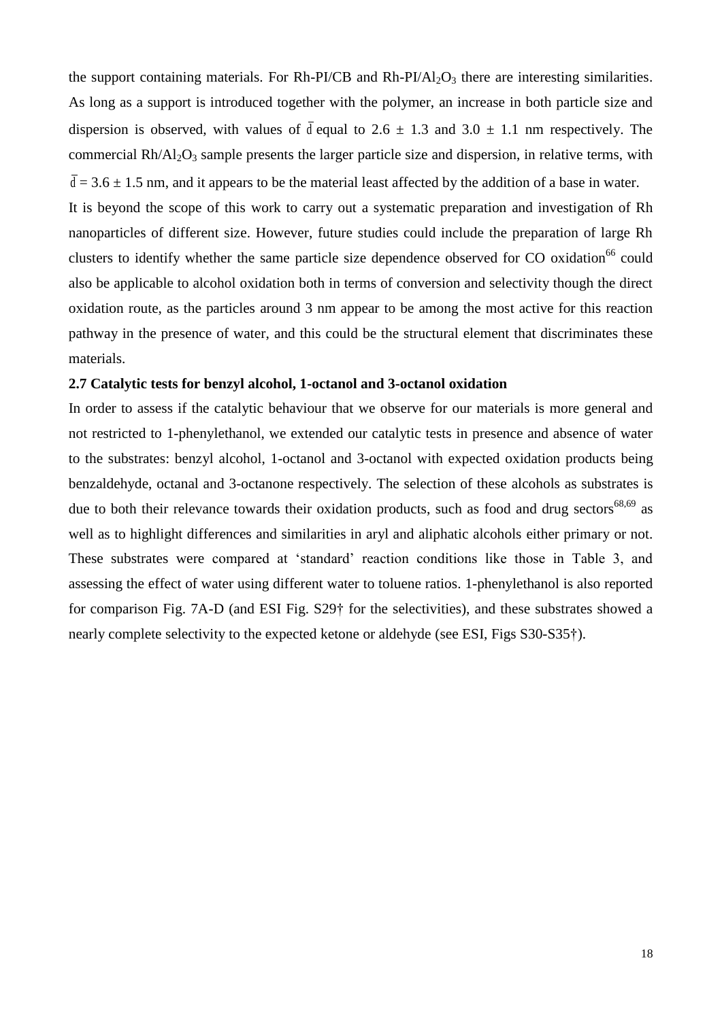the support containing materials. For Rh-PI/CB and Rh-PI/Al<sub>2</sub>O<sub>3</sub> there are interesting similarities. As long as a support is introduced together with the polymer, an increase in both particle size and dispersion is observed, with values of  $\bar{d}$  equal to 2.6  $\pm$  1.3 and 3.0  $\pm$  1.1 nm respectively. The commercial  $Rh/AI_2O_3$  sample presents the larger particle size and dispersion, in relative terms, with  $\overline{d}$  = 3.6  $\pm$  1.5 nm, and it appears to be the material least affected by the addition of a base in water.

It is beyond the scope of this work to carry out a systematic preparation and investigation of Rh nanoparticles of different size. However, future studies could include the preparation of large Rh clusters to identify whether the same particle size dependence observed for  $CO$  oxidation<sup>66</sup> could also be applicable to alcohol oxidation both in terms of conversion and selectivity though the direct oxidation route, as the particles around 3 nm appear to be among the most active for this reaction pathway in the presence of water, and this could be the structural element that discriminates these materials.

## **2.7 Catalytic tests for benzyl alcohol, 1-octanol and 3-octanol oxidation**

In order to assess if the catalytic behaviour that we observe for our materials is more general and not restricted to 1-phenylethanol, we extended our catalytic tests in presence and absence of water to the substrates: benzyl alcohol, 1-octanol and 3-octanol with expected oxidation products being benzaldehyde, octanal and 3-octanone respectively. The selection of these alcohols as substrates is due to both their relevance towards their oxidation products, such as food and drug sectors<sup>68,69</sup> as well as to highlight differences and similarities in aryl and aliphatic alcohols either primary or not. These substrates were compared at 'standard' reaction conditions like those in Table 3, and assessing the effect of water using different water to toluene ratios. 1-phenylethanol is also reported for comparison Fig. 7A-D (and ESI Fig. S29† for the selectivities), and these substrates showed a nearly complete selectivity to the expected ketone or aldehyde (see ESI, Figs S30-S35†).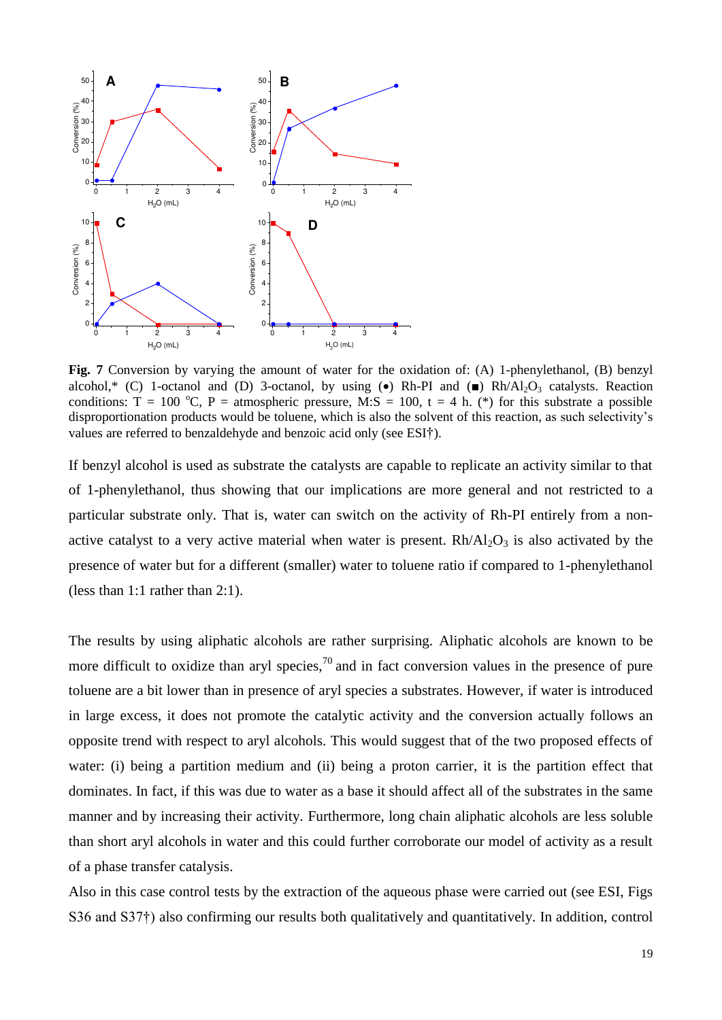

**Fig. 7** Conversion by varying the amount of water for the oxidation of: (A) 1-phenylethanol, (B) benzyl alcohol,\* (C) 1-octanol and (D) 3-octanol, by using ( $\bullet$ ) Rh-PI and ( $\bullet$ ) Rh/Al<sub>2</sub>O<sub>3</sub> catalysts. Reaction conditions:  $T = 100 \degree C$ ,  $P = \text{atmospheric pressure}$ , M:S = 100, t = 4 h. (\*) for this substrate a possible disproportionation products would be toluene, which is also the solvent of this reaction, as such selectivity's values are referred to benzaldehyde and benzoic acid only (see ESI†).

If benzyl alcohol is used as substrate the catalysts are capable to replicate an activity similar to that of 1-phenylethanol, thus showing that our implications are more general and not restricted to a particular substrate only. That is, water can switch on the activity of Rh-PI entirely from a nonactive catalyst to a very active material when water is present.  $Rh/A1<sub>2</sub>O<sub>3</sub>$  is also activated by the presence of water but for a different (smaller) water to toluene ratio if compared to 1-phenylethanol (less than 1:1 rather than 2:1).

The results by using aliphatic alcohols are rather surprising. Aliphatic alcohols are known to be more difficult to oxidize than aryl species,<sup>70</sup> and in fact conversion values in the presence of pure toluene are a bit lower than in presence of aryl species a substrates. However, if water is introduced in large excess, it does not promote the catalytic activity and the conversion actually follows an opposite trend with respect to aryl alcohols. This would suggest that of the two proposed effects of water: (i) being a partition medium and (ii) being a proton carrier, it is the partition effect that dominates. In fact, if this was due to water as a base it should affect all of the substrates in the same manner and by increasing their activity. Furthermore, long chain aliphatic alcohols are less soluble than short aryl alcohols in water and this could further corroborate our model of activity as a result of a phase transfer catalysis.

Also in this case control tests by the extraction of the aqueous phase were carried out (see ESI, Figs S36 and S37†) also confirming our results both qualitatively and quantitatively. In addition, control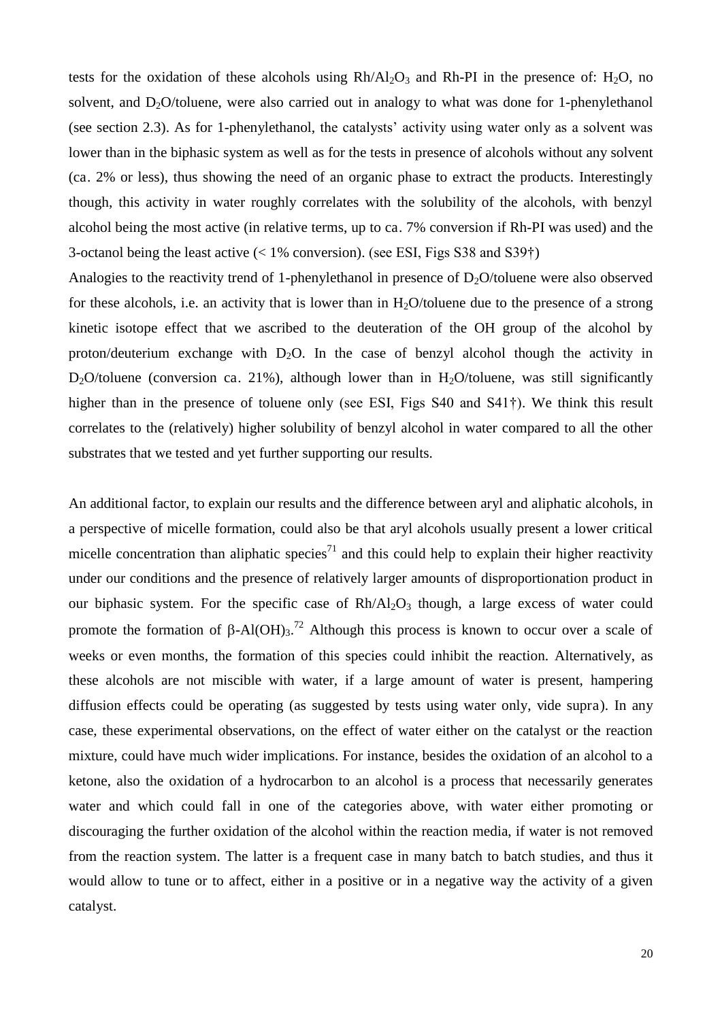tests for the oxidation of these alcohols using  $Rh/Al_2O_3$  and  $Rh-PI$  in the presence of: H<sub>2</sub>O, no solvent, and  $D_2O$ /toluene, were also carried out in analogy to what was done for 1-phenylethanol (see section 2.3). As for 1-phenylethanol, the catalysts' activity using water only as a solvent was lower than in the biphasic system as well as for the tests in presence of alcohols without any solvent (ca. 2% or less), thus showing the need of an organic phase to extract the products. Interestingly though, this activity in water roughly correlates with the solubility of the alcohols, with benzyl alcohol being the most active (in relative terms, up to ca. 7% conversion if Rh-PI was used) and the 3-octanol being the least active (< 1% conversion). (see ESI, Figs S38 and S39†)

Analogies to the reactivity trend of 1-phenylethanol in presence of  $D_2O$ /toluene were also observed for these alcohols, i.e. an activity that is lower than in  $H_2O$ /toluene due to the presence of a strong kinetic isotope effect that we ascribed to the deuteration of the OH group of the alcohol by proton/deuterium exchange with  $D_2O$ . In the case of benzyl alcohol though the activity in D<sub>2</sub>O/toluene (conversion ca. 21%), although lower than in H<sub>2</sub>O/toluene, was still significantly higher than in the presence of toluene only (see ESI, Figs S40 and S41<sup>†</sup>). We think this result correlates to the (relatively) higher solubility of benzyl alcohol in water compared to all the other substrates that we tested and yet further supporting our results.

An additional factor, to explain our results and the difference between aryl and aliphatic alcohols, in a perspective of micelle formation, could also be that aryl alcohols usually present a lower critical micelle concentration than aliphatic species<sup>71</sup> and this could help to explain their higher reactivity under our conditions and the presence of relatively larger amounts of disproportionation product in our biphasic system. For the specific case of  $Rh/Al<sub>2</sub>O<sub>3</sub>$  though, a large excess of water could promote the formation of  $\beta$ -Al(OH)<sub>3</sub>.<sup>72</sup> Although this process is known to occur over a scale of weeks or even months, the formation of this species could inhibit the reaction. Alternatively, as these alcohols are not miscible with water, if a large amount of water is present, hampering diffusion effects could be operating (as suggested by tests using water only, vide supra). In any case, these experimental observations, on the effect of water either on the catalyst or the reaction mixture, could have much wider implications. For instance, besides the oxidation of an alcohol to a ketone, also the oxidation of a hydrocarbon to an alcohol is a process that necessarily generates water and which could fall in one of the categories above, with water either promoting or discouraging the further oxidation of the alcohol within the reaction media, if water is not removed from the reaction system. The latter is a frequent case in many batch to batch studies, and thus it would allow to tune or to affect, either in a positive or in a negative way the activity of a given catalyst.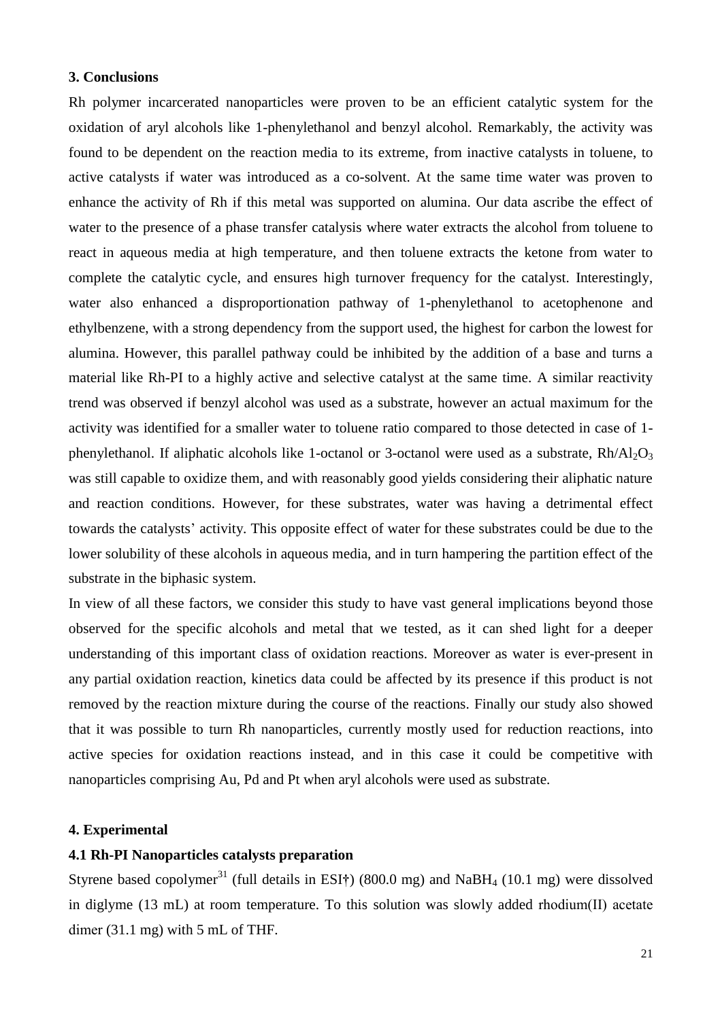#### **3. Conclusions**

Rh polymer incarcerated nanoparticles were proven to be an efficient catalytic system for the oxidation of aryl alcohols like 1-phenylethanol and benzyl alcohol. Remarkably, the activity was found to be dependent on the reaction media to its extreme, from inactive catalysts in toluene, to active catalysts if water was introduced as a co-solvent. At the same time water was proven to enhance the activity of Rh if this metal was supported on alumina. Our data ascribe the effect of water to the presence of a phase transfer catalysis where water extracts the alcohol from toluene to react in aqueous media at high temperature, and then toluene extracts the ketone from water to complete the catalytic cycle, and ensures high turnover frequency for the catalyst. Interestingly, water also enhanced a disproportionation pathway of 1-phenylethanol to acetophenone and ethylbenzene, with a strong dependency from the support used, the highest for carbon the lowest for alumina. However, this parallel pathway could be inhibited by the addition of a base and turns a material like Rh-PI to a highly active and selective catalyst at the same time. A similar reactivity trend was observed if benzyl alcohol was used as a substrate, however an actual maximum for the activity was identified for a smaller water to toluene ratio compared to those detected in case of 1 phenylethanol. If aliphatic alcohols like 1-octanol or 3-octanol were used as a substrate,  $Rh / Al<sub>2</sub>O<sub>3</sub>$ was still capable to oxidize them, and with reasonably good yields considering their aliphatic nature and reaction conditions. However, for these substrates, water was having a detrimental effect towards the catalysts' activity. This opposite effect of water for these substrates could be due to the lower solubility of these alcohols in aqueous media, and in turn hampering the partition effect of the substrate in the biphasic system.

In view of all these factors, we consider this study to have vast general implications beyond those observed for the specific alcohols and metal that we tested, as it can shed light for a deeper understanding of this important class of oxidation reactions. Moreover as water is ever-present in any partial oxidation reaction, kinetics data could be affected by its presence if this product is not removed by the reaction mixture during the course of the reactions. Finally our study also showed that it was possible to turn Rh nanoparticles, currently mostly used for reduction reactions, into active species for oxidation reactions instead, and in this case it could be competitive with nanoparticles comprising Au, Pd and Pt when aryl alcohols were used as substrate.

## **4. Experimental**

## **4.1 Rh-PI Nanoparticles catalysts preparation**

Styrene based copolymer<sup>31</sup> (full details in ESI<sup>†</sup>) (800.0 mg) and NaBH<sub>4</sub> (10.1 mg) were dissolved in diglyme (13 mL) at room temperature. To this solution was slowly added rhodium(II) acetate dimer (31.1 mg) with 5 mL of THF.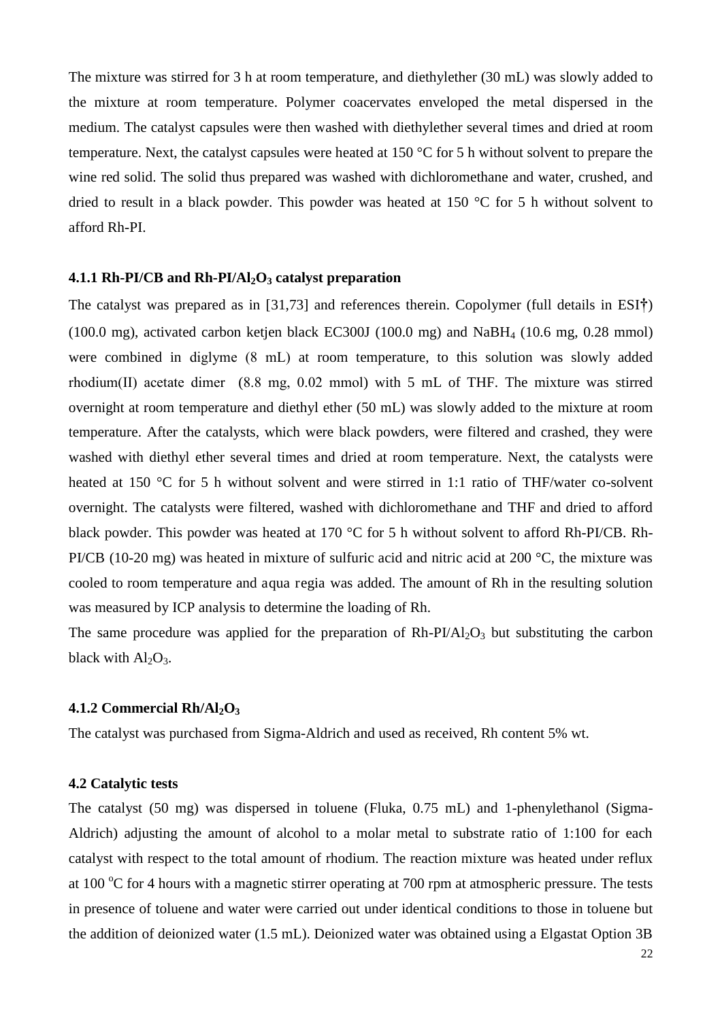The mixture was stirred for 3 h at room temperature, and diethylether (30 mL) was slowly added to the mixture at room temperature. Polymer coacervates enveloped the metal dispersed in the medium. The catalyst capsules were then washed with diethylether several times and dried at room temperature. Next, the catalyst capsules were heated at 150 °C for 5 h without solvent to prepare the wine red solid. The solid thus prepared was washed with dichloromethane and water, crushed, and dried to result in a black powder. This powder was heated at 150 °C for 5 h without solvent to afford Rh-PI.

#### **4.1.1 Rh-PI/CB and Rh-PI/Al2O3 catalyst preparation**

The catalyst was prepared as in [31,73] and references therein. Copolymer (full details in ESI**†**) (100.0 mg), activated carbon ketjen black EC300J (100.0 mg) and NaBH4 (10.6 mg, 0.28 mmol) were combined in diglyme (8 mL) at room temperature, to this solution was slowly added rhodium(II) acetate dimer (8.8 mg, 0.02 mmol) with 5 mL of THF. The mixture was stirred overnight at room temperature and diethyl ether (50 mL) was slowly added to the mixture at room temperature. After the catalysts, which were black powders, were filtered and crashed, they were washed with diethyl ether several times and dried at room temperature. Next, the catalysts were heated at 150 °C for 5 h without solvent and were stirred in 1:1 ratio of THF/water co-solvent overnight. The catalysts were filtered, washed with dichloromethane and THF and dried to afford black powder. This powder was heated at 170 °C for 5 h without solvent to afford Rh-PI/CB. Rh-PI/CB (10-20 mg) was heated in mixture of sulfuric acid and nitric acid at 200 °C, the mixture was cooled to room temperature and aqua regia was added. The amount of Rh in the resulting solution was measured by ICP analysis to determine the loading of Rh.

The same procedure was applied for the preparation of  $Rh-PI/Al_2O_3$  but substituting the carbon black with  $Al_2O_3$ .

## **4.1.2 Commercial Rh/Al2O<sup>3</sup>**

The catalyst was purchased from Sigma-Aldrich and used as received, Rh content 5% wt.

#### **4.2 Catalytic tests**

The catalyst (50 mg) was dispersed in toluene (Fluka, 0.75 mL) and 1-phenylethanol (Sigma-Aldrich) adjusting the amount of alcohol to a molar metal to substrate ratio of 1:100 for each catalyst with respect to the total amount of rhodium. The reaction mixture was heated under reflux at 100  $^{\circ}$ C for 4 hours with a magnetic stirrer operating at 700 rpm at atmospheric pressure. The tests in presence of toluene and water were carried out under identical conditions to those in toluene but the addition of deionized water (1.5 mL). Deionized water was obtained using a Elgastat Option 3B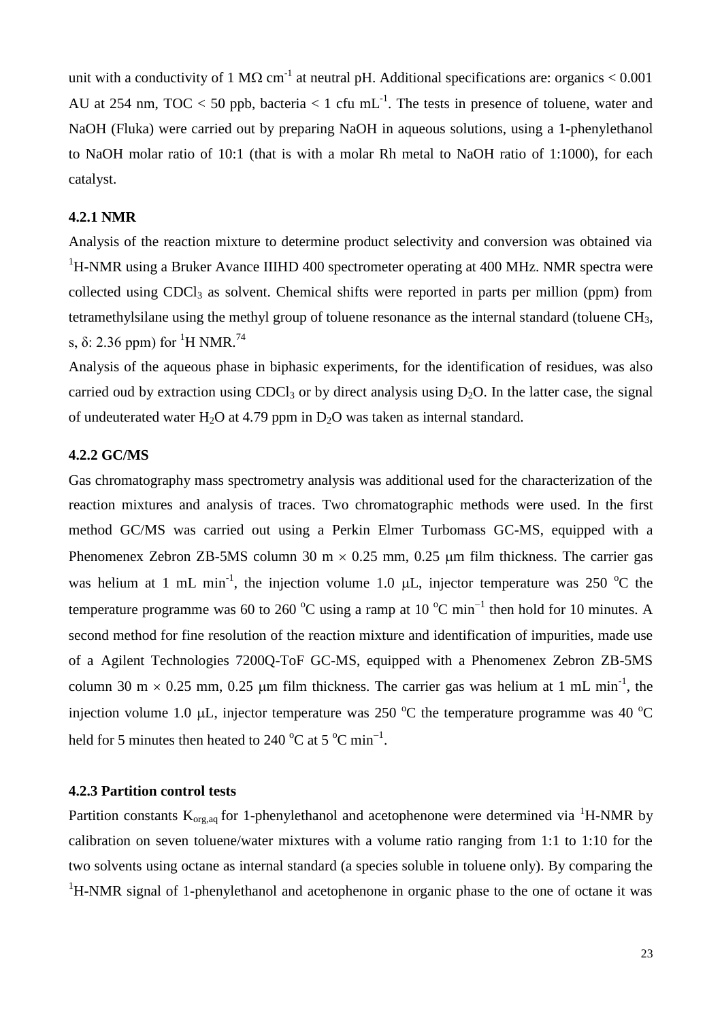unit with a conductivity of 1 M $\Omega$  cm<sup>-1</sup> at neutral pH. Additional specifications are: organics < 0.001 AU at 254 nm, TOC < 50 ppb, bacteria < 1 cfu mL<sup>-1</sup>. The tests in presence of toluene, water and NaOH (Fluka) were carried out by preparing NaOH in aqueous solutions, using a 1-phenylethanol to NaOH molar ratio of 10:1 (that is with a molar Rh metal to NaOH ratio of 1:1000), for each catalyst.

## **4.2.1 NMR**

Analysis of the reaction mixture to determine product selectivity and conversion was obtained via <sup>1</sup>H-NMR using a Bruker Avance IIIHD 400 spectrometer operating at 400 MHz. NMR spectra were collected using CDCl<sub>3</sub> as solvent. Chemical shifts were reported in parts per million (ppm) from tetramethylsilane using the methyl group of toluene resonance as the internal standard (toluene CH3, s,  $\delta$ : 2.36 ppm) for <sup>1</sup>H NMR.<sup>74</sup>

Analysis of the aqueous phase in biphasic experiments, for the identification of residues, was also carried oud by extraction using CDCl<sub>3</sub> or by direct analysis using  $D_2O$ . In the latter case, the signal of undeuterated water H<sub>2</sub>O at 4.79 ppm in  $D_2O$  was taken as internal standard.

## **4.2.2 GC/MS**

Gas chromatography mass spectrometry analysis was additional used for the characterization of the reaction mixtures and analysis of traces. Two chromatographic methods were used. In the first method GC/MS was carried out using a Perkin Elmer Turbomass GC-MS, equipped with a Phenomenex Zebron ZB-5MS column 30 m  $\times$  0.25 mm, 0.25 µm film thickness. The carrier gas was helium at 1 mL min<sup>-1</sup>, the injection volume 1.0  $\mu$ L, injector temperature was 250 °C the temperature programme was 60 to 260  $^{\circ}$ C using a ramp at 10  $^{\circ}$ C min<sup>-1</sup> then hold for 10 minutes. A second method for fine resolution of the reaction mixture and identification of impurities, made use of a Agilent Technologies 7200Q-ToF GC-MS, equipped with a Phenomenex Zebron ZB-5MS column 30 m  $\times$  0.25 mm, 0.25 µm film thickness. The carrier gas was helium at 1 mL min<sup>-1</sup>, the injection volume 1.0  $\mu$ L, injector temperature was 250 °C the temperature programme was 40 °C held for 5 minutes then heated to 240  $^{\circ}$ C at 5  $^{\circ}$ C min<sup>-1</sup>.

## **4.2.3 Partition control tests**

Partition constants  $K_{org,aq}$  for 1-phenylethanol and acetophenone were determined via <sup>1</sup>H-NMR by calibration on seven toluene/water mixtures with a volume ratio ranging from 1:1 to 1:10 for the two solvents using octane as internal standard (a species soluble in toluene only). By comparing the <sup>1</sup>H-NMR signal of 1-phenylethanol and acetophenone in organic phase to the one of octane it was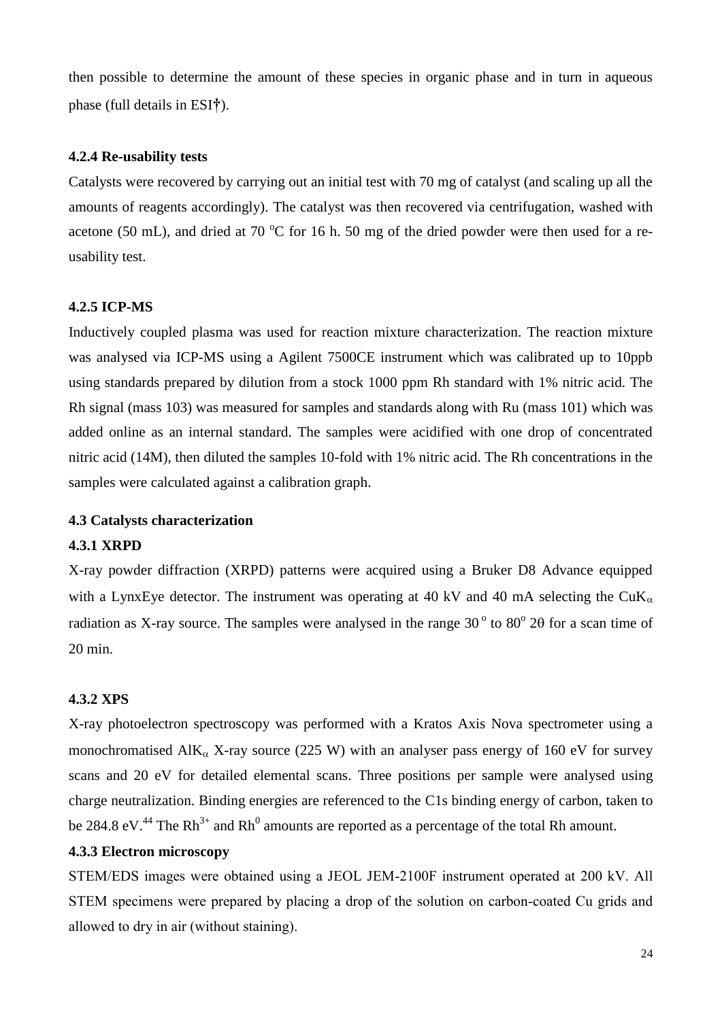then possible to determine the amount of these species in organic phase and in turn in aqueous phase (full details in ESI**†**).

## **4.2.4 Re-usability tests**

Catalysts were recovered by carrying out an initial test with 70 mg of catalyst (and scaling up all the amounts of reagents accordingly). The catalyst was then recovered via centrifugation, washed with acetone (50 mL), and dried at 70  $^{\circ}$ C for 16 h. 50 mg of the dried powder were then used for a reusability test.

#### **4.2.5 ICP-MS**

Inductively coupled plasma was used for reaction mixture characterization. The reaction mixture was analysed via ICP-MS using a Agilent 7500CE instrument which was calibrated up to 10ppb using standards prepared by dilution from a stock 1000 ppm Rh standard with 1% nitric acid. The Rh signal (mass 103) was measured for samples and standards along with Ru (mass 101) which was added online as an internal standard. The samples were acidified with one drop of concentrated nitric acid (14M), then diluted the samples 10-fold with 1% nitric acid. The Rh concentrations in the samples were calculated against a calibration graph.

## **4.3 Catalysts characterization**

#### **4.3.1 XRPD**

X-ray powder diffraction (XRPD) patterns were acquired using a Bruker D8 Advance equipped with a LynxEye detector. The instrument was operating at 40 kV and 40 mA selecting the  $CuK_{\alpha}$ radiation as X-ray source. The samples were analysed in the range  $30^{\circ}$  to  $80^{\circ}$  20 for a scan time of 20 min.

## **4.3.2 XPS**

X-ray photoelectron spectroscopy was performed with a Kratos Axis Nova spectrometer using a monochromatised  $\text{AlK}_{\alpha}$  X-ray source (225 W) with an analyser pass energy of 160 eV for survey scans and 20 eV for detailed elemental scans. Three positions per sample were analysed using charge neutralization. Binding energies are referenced to the C1s binding energy of carbon, taken to be 284.8 eV.<sup>44</sup> The Rh<sup>3+</sup> and Rh<sup>0</sup> amounts are reported as a percentage of the total Rh amount.

## **4.3.3 Electron microscopy**

STEM/EDS images were obtained using a JEOL JEM-2100F instrument operated at 200 kV. All STEM specimens were prepared by placing a drop of the solution on carbon-coated Cu grids and allowed to dry in air (without staining).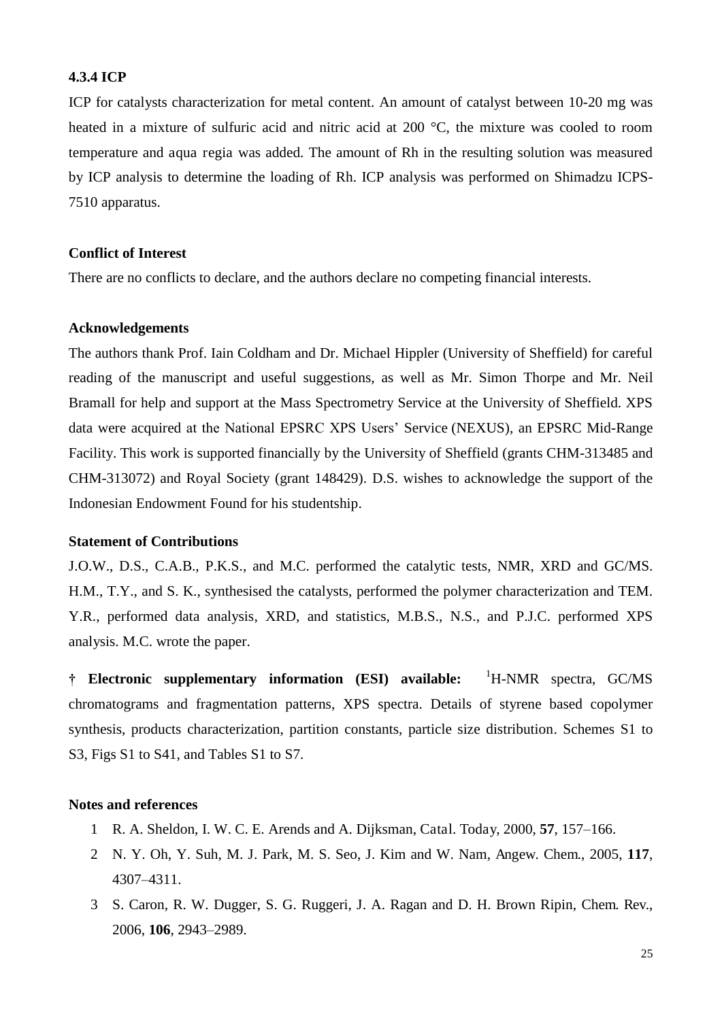## **4.3.4 ICP**

ICP for catalysts characterization for metal content. An amount of catalyst between 10-20 mg was heated in a mixture of sulfuric acid and nitric acid at 200 °C, the mixture was cooled to room temperature and aqua regia was added. The amount of Rh in the resulting solution was measured by ICP analysis to determine the loading of Rh. ICP analysis was performed on Shimadzu ICPS-7510 apparatus.

#### **Conflict of Interest**

There are no conflicts to declare, and the authors declare no competing financial interests.

## **Acknowledgements**

The authors thank Prof. Iain Coldham and Dr. Michael Hippler (University of Sheffield) for careful reading of the manuscript and useful suggestions, as well as Mr. Simon Thorpe and Mr. Neil Bramall for help and support at the Mass Spectrometry Service at the University of Sheffield. XPS data were acquired at the National EPSRC XPS Users' Service (NEXUS), an EPSRC Mid-Range Facility. This work is supported financially by the University of Sheffield (grants CHM-313485 and CHM-313072) and Royal Society (grant 148429). D.S. wishes to acknowledge the support of the Indonesian Endowment Found for his studentship.

## **Statement of Contributions**

J.O.W., D.S., C.A.B., P.K.S., and M.C. performed the catalytic tests, NMR, XRD and GC/MS. H.M., T.Y., and S. K., synthesised the catalysts, performed the polymer characterization and TEM. Y.R., performed data analysis, XRD, and statistics, M.B.S., N.S., and P.J.C. performed XPS analysis. M.C. wrote the paper.

**† Electronic supplementary information (ESI) available:** <sup>1</sup>H-NMR spectra, GC/MS chromatograms and fragmentation patterns, XPS spectra. Details of styrene based copolymer synthesis, products characterization, partition constants, particle size distribution. Schemes S1 to S3, Figs S1 to S41, and Tables S1 to S7.

## **Notes and references**

- 1 R. A. Sheldon, I. W. C. E. Arends and A. Dijksman, Catal. Today, 2000, **57**, 157–166.
- 2 N. Y. Oh, Y. Suh, M. J. Park, M. S. Seo, J. Kim and W. Nam, Angew. Chem., 2005, **117**, 4307–4311.
- 3 S. Caron, R. W. Dugger, S. G. Ruggeri, J. A. Ragan and D. H. Brown Ripin, Chem. Rev., 2006, **106**, 2943–2989.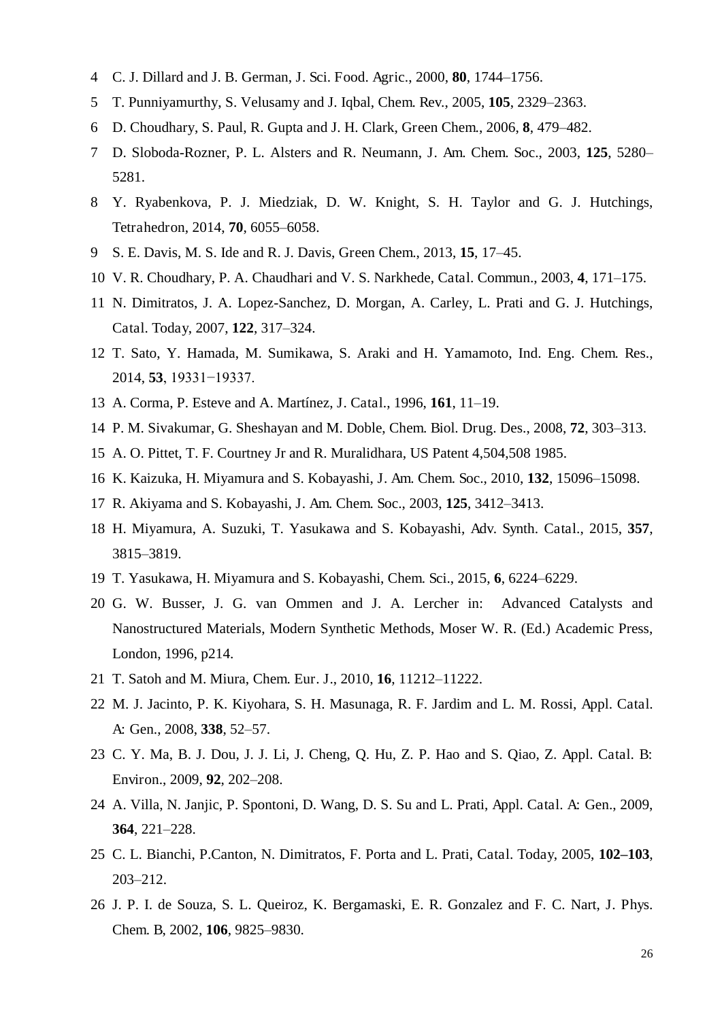- C. J. Dillard and J. B. German, J. Sci. Food. Agric., 2000, **80**, 1744–1756.
- T. Punniyamurthy, S. Velusamy and J. Iqbal, Chem. Rev., 2005, **105**, 2329–2363.
- D. Choudhary, S. Paul, R. Gupta and J. H. Clark, Green Chem., 2006, **8**, 479–482.
- D. Sloboda-Rozner, P. L. Alsters and R. Neumann, J. Am. Chem. Soc., 2003, **125**, 5280– 5281.
- Y. Ryabenkova, P. J. Miedziak, D. W. Knight, S. H. Taylor and G. J. Hutchings, Tetrahedron, 2014, **70**, 6055–6058.
- S. E. Davis, M. S. Ide and R. J. Davis, Green Chem., 2013, **15**, 17–45.
- V. R. Choudhary, P. A. Chaudhari and V. S. Narkhede, Catal. Commun., 2003, **4**, 171–175.
- N. Dimitratos, J. A. Lopez-Sanchez, D. Morgan, A. Carley, L. Prati and G. J. Hutchings, Catal. Today, 2007, **122**, 317–324.
- T. Sato, Y. Hamada, M. Sumikawa, S. Araki and H. Yamamoto, Ind. Eng. Chem. Res., 2014, **53**, 19331−19337.
- A. Corma, P. Esteve and A. Martínez, J. Catal., 1996, **161**, 11–19.
- P. M. Sivakumar, G. Sheshayan and M. Doble, Chem. Biol. Drug. Des., 2008, **72**, 303–313.
- A. O. Pittet, T. F. Courtney Jr and R. Muralidhara, US Patent 4,504,508 1985.
- K. Kaizuka, H. Miyamura and S. Kobayashi, J. Am. Chem. Soc., 2010, **132**, 15096–15098.
- R. Akiyama and S. Kobayashi, J. Am. Chem. Soc., 2003, **125**, 3412–3413.
- H. Miyamura, A. Suzuki, T. Yasukawa and S. Kobayashi, Adv. Synth. Catal., 2015, **357**, –3819.
- T. Yasukawa, H. Miyamura and S. Kobayashi, Chem. Sci., 2015, **6**, 6224–6229.
- G. W. Busser, J. G. van Ommen and J. A. Lercher in: Advanced Catalysts and Nanostructured Materials, Modern Synthetic Methods, Moser W. R. (Ed.) Academic Press, London, 1996, p214.
- T. Satoh and M. Miura, Chem. Eur. J., 2010, **16**, 11212–11222.
- M. J. Jacinto, P. K. Kiyohara, S. H. Masunaga, R. F. Jardim and L. M. Rossi, Appl. Catal. A: Gen., 2008, **338**, 52–57.
- C. Y. Ma, B. J. Dou, J. J. Li, J. Cheng, Q. Hu, Z. P. Hao and S. Qiao, Z. Appl. Catal. B: Environ., 2009, **92**, 202–208.
- A. Villa, N. Janjic, P. Spontoni, D. Wang, D. S. Su and L. Prati, Appl. Catal. A: Gen., 2009, , 221–228.
- C. L. Bianchi, P.Canton, N. Dimitratos, F. Porta and L. Prati, Catal. Today, 2005, **102–103**, –212.
- J. P. I. de Souza, S. L. Queiroz, K. Bergamaski, E. R. Gonzalez and F. C. Nart, J. Phys. Chem. B, 2002, **106**, 9825–9830.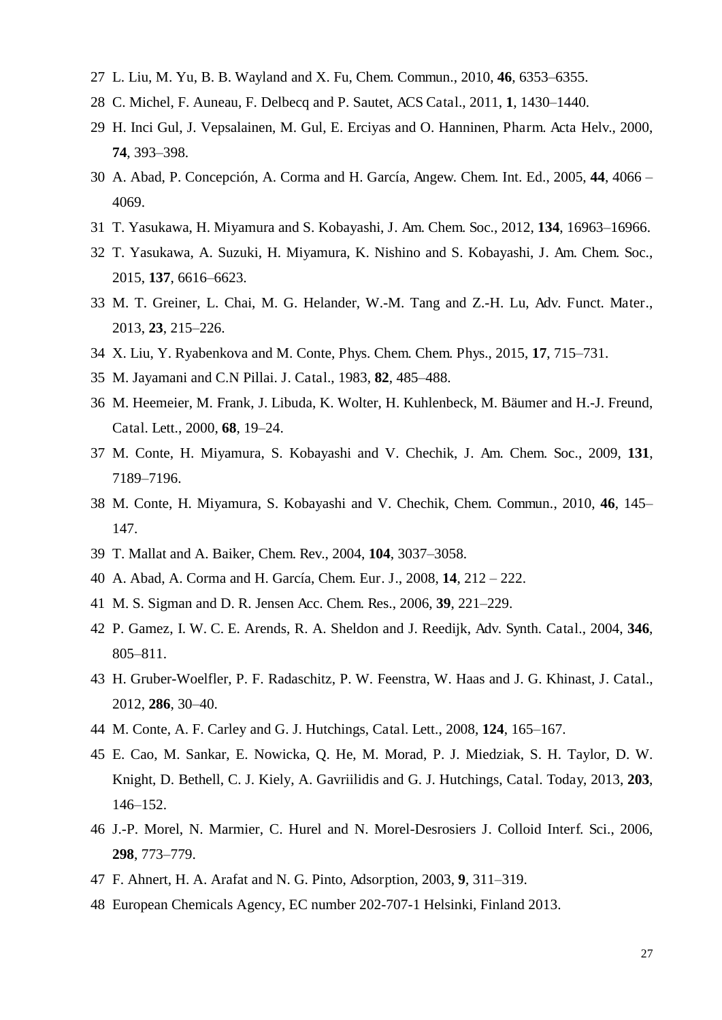- L. Liu, M. Yu, B. B. Wayland and X. Fu, Chem. Commun., 2010, **46**, 6353–6355.
- C. Michel, F. Auneau, F. Delbecq and P. Sautet, ACS Catal., 2011, **1**, 1430–1440.
- H. Inci Gul, J. Vepsalainen, M. Gul, E. Erciyas and O. Hanninen, Pharm. Acta Helv., 2000, , 393–398.
- A. Abad, P. Concepción, A. Corma and H. García, Angew. Chem. Int. Ed., 2005, **44**, 4066 4069.
- T. Yasukawa, H. Miyamura and S. Kobayashi, J. Am. Chem. Soc., 2012, **134**, 16963–16966.
- T. Yasukawa, A. Suzuki, H. Miyamura, K. Nishino and S. Kobayashi, J. Am. Chem. Soc., 2015, **137**, 6616–6623.
- M. T. Greiner, L. Chai, M. G. Helander, W.-M. Tang and Z.-H. Lu, Adv. Funct. Mater., 2013, **23**, 215–226.
- X. Liu, Y. Ryabenkova and M. Conte, Phys. Chem. Chem. Phys., 2015, **17**, 715–731.
- M. Jayamani and C.N Pillai. J. Catal., 1983, **82**, 485–488.
- M. Heemeier, M. Frank, J. Libuda, K. Wolter, H. Kuhlenbeck, M. Bäumer and H.-J. Freund, Catal. Lett., 2000, **68**, 19–24.
- M. Conte, H. Miyamura, S. Kobayashi and V. Chechik, J. Am. Chem. Soc., 2009, **131**, –7196.
- M. Conte, H. Miyamura, S. Kobayashi and V. Chechik, Chem. Commun., 2010, **46**, 145– 147.
- T. Mallat and A. Baiker, Chem. Rev., 2004, **104**, 3037–3058.
- A. Abad, A. Corma and H. García, Chem. Eur. J., 2008, **14**, 212 222.
- M. S. Sigman and D. R. Jensen Acc. Chem. Res., 2006, **39**, 221–229.
- P. Gamez, I. W. C. E. Arends, R. A. Sheldon and J. Reedijk, Adv. Synth. Catal., 2004, **346**, –811.
- H. Gruber-Woelfler, P. F. Radaschitz, P. W. Feenstra, W. Haas and J. G. Khinast, J. Catal., 2012, **286**, 30–40.
- M. Conte, A. F. Carley and G. J. Hutchings, Catal. Lett., 2008, **124**, 165–167.
- E. Cao, M. Sankar, E. Nowicka, Q. He, M. Morad, P. J. Miedziak, S. H. Taylor, D. W. Knight, D. Bethell, C. J. Kiely, A. Gavriilidis and G. J. Hutchings, Catal. Today, 2013, **203**, –152.
- J.-P. Morel, N. Marmier, C. Hurel and N. Morel-Desrosiers J. Colloid Interf. Sci., 2006, , 773–779.
- F. Ahnert, H. A. Arafat and N. G. Pinto, Adsorption, 2003, **9**, 311–319.
- European Chemicals Agency, EC number 202-707-1 Helsinki, Finland 2013.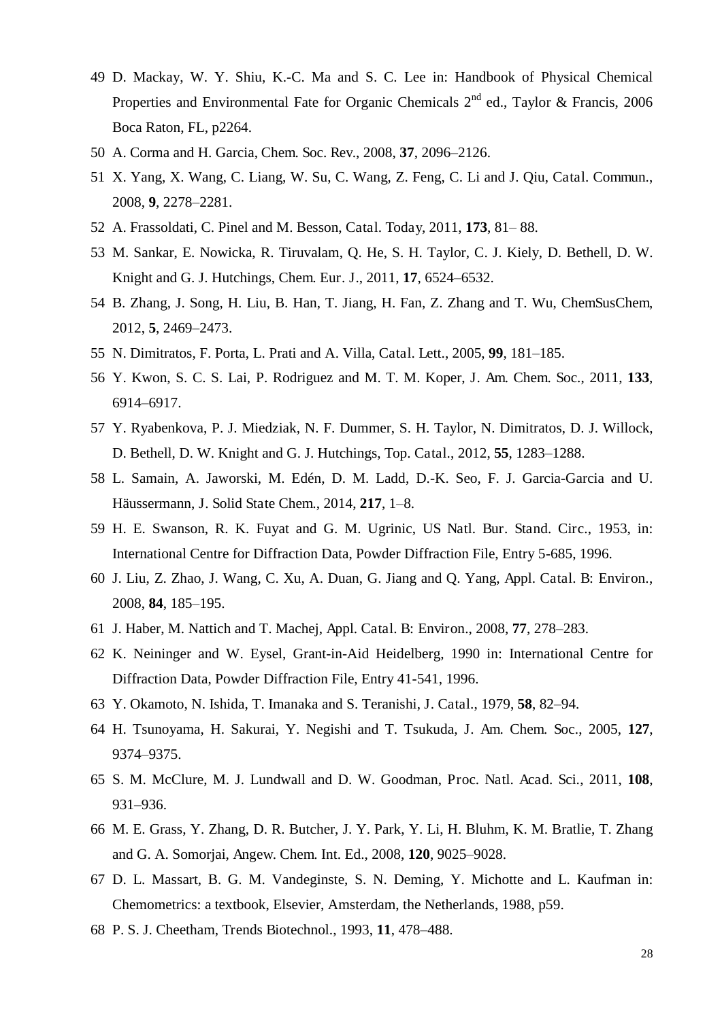- D. Mackay, W. Y. Shiu, K.-C. Ma and S. C. Lee in: Handbook of Physical Chemical Properties and Environmental Fate for Organic Chemicals  $2^{nd}$  ed., Taylor & Francis, 2006 Boca Raton, FL, p2264.
- A. Corma and H. Garcia, Chem. Soc. Rev., 2008, **37**, 2096–2126.
- X. Yang, X. Wang, C. Liang, W. Su, C. Wang, Z. Feng, C. Li and J. Qiu, Catal. Commun., 2008, **9**, 2278–2281.
- A. Frassoldati, C. Pinel and M. Besson, Catal. Today, 2011, **173**, 81– 88.
- M. Sankar, E. Nowicka, R. Tiruvalam, Q. He, S. H. Taylor, C. J. Kiely, D. Bethell, D. W. Knight and G. J. Hutchings, Chem. Eur. J., 2011, **17**, 6524–6532.
- B. Zhang, J. Song, H. Liu, B. Han, T. Jiang, H. Fan, Z. Zhang and T. Wu, ChemSusChem, 2012, **5**, 2469–2473.
- N. Dimitratos, F. Porta, L. Prati and A. Villa, Catal. Lett., 2005, **99**, 181–185.
- Y. Kwon, S. C. S. Lai, P. Rodriguez and M. T. M. Koper, J. Am. Chem. Soc., 2011, **133**, –6917.
- Y. Ryabenkova, P. J. Miedziak, N. F. Dummer, S. H. Taylor, N. Dimitratos, D. J. Willock, D. Bethell, D. W. Knight and G. J. Hutchings, Top. Catal., 2012, **55**, 1283–1288.
- L. Samain, A. Jaworski, M. Edén, D. M. Ladd, D.-K. Seo, F. J. Garcia-Garcia and U. Häussermann, J. Solid State Chem., 2014, **217**, 1–8.
- H. E. Swanson, R. K. Fuyat and G. M. Ugrinic, US Natl. Bur. Stand. Circ., 1953, in: International Centre for Diffraction Data, Powder Diffraction File, Entry 5-685, 1996.
- J. Liu, Z. Zhao, J. Wang, C. Xu, A. Duan, G. Jiang and Q. Yang, Appl. Catal. B: Environ., 2008, **84**, 185–195.
- J. Haber, M. Nattich and T. Machej, Appl. Catal. B: Environ., 2008, **77**, 278–283.
- K. Neininger and W. Eysel, Grant-in-Aid Heidelberg, 1990 in: International Centre for Diffraction Data, Powder Diffraction File, Entry 41-541, 1996.
- Y. Okamoto, N. Ishida, T. Imanaka and S. Teranishi, J. Catal., 1979, **58**, 82–94.
- H. Tsunoyama, H. Sakurai, Y. Negishi and T. Tsukuda, J. Am. Chem. Soc., 2005, **127**, –9375.
- S. M. McClure, M. J. Lundwall and D. W. Goodman, Proc. Natl. Acad. Sci., 2011, **108**, –936.
- M. E. Grass, Y. Zhang, D. R. Butcher, J. Y. Park, Y. Li, H. Bluhm, K. M. Bratlie, T. Zhang and G. A. Somorjai, Angew. Chem. Int. Ed., 2008, **120**, 9025–9028.
- D. L. Massart, B. G. M. Vandeginste, S. N. Deming, Y. Michotte and L. Kaufman in: Chemometrics: a textbook, Elsevier, Amsterdam, the Netherlands, 1988, p59.
- P. S. J. Cheetham, Trends Biotechnol., 1993, **11**, 478–488.